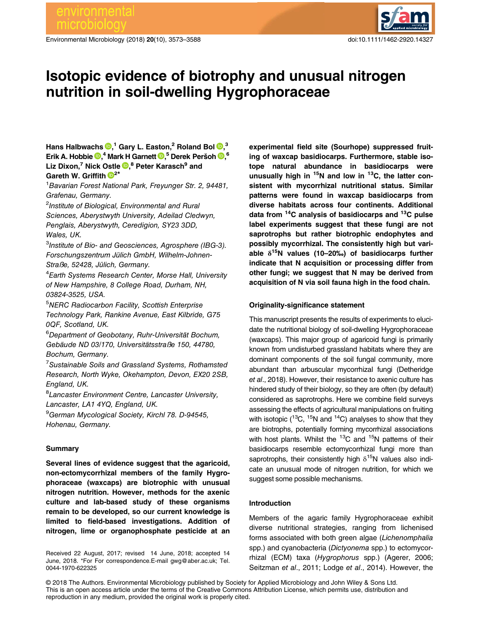Environmental Microbiology (2018) 20(10), 3573–3588 doi:10.1111/1462-2920.14327



# Isotopic evidence of biotrophy and unusual nitrogen nutrition in soil-dwelling Hygrophoraceae

Hans Halbwachs  $\mathbf{D}, ^{1}$  Gary L. Easton, $^{2}$  Roland Bol  $\mathbf{D}, ^{3}$ Erik A. Hobbie  $\mathbf{D},^4$  $\mathbf{D},^4$  $\mathbf{D},^4$  Mark H Garnett  $\mathbf{D},^5$  Derek Peršoh  $\mathbf{D},^6$ Liz Dixon,<sup>7</sup> Nick Ostle D,<sup>8</sup> Peter Karasch<sup>9</sup> and Gareth W. Griffith  $\mathbb{P}^{2*}$  $\mathbb{P}^{2*}$  $\mathbb{P}^{2*}$ 

<sup>1</sup> Bavarian Forest National Park, Freyunger Str. 2, 94481, Grafenau, Germany.

<sup>2</sup>Institute of Biological, Environmental and Rural Sciences, Aberystwyth University, Adeilad Cledwyn, Penglais, Aberystwyth, Ceredigion, SY23 3DD, Wales, UK.

<sup>3</sup>Institute of Bio- and Geosciences, Agrosphere (IBG-3). Forschungszentrum Jülich GmbH, Wilhelm-Johnen-Straße, 52428, Jülich, Germany.

4 Earth Systems Research Center, Morse Hall, University of New Hampshire, 8 College Road, Durham, NH, 03824-3525, USA.

<sup>5</sup>NERC Radiocarbon Facility, Scottish Enterprise Technology Park, Rankine Avenue, East Kilbride, G75 0QF, Scotland, UK.

6 Department of Geobotany, Ruhr-Universität Bochum, Gebäude ND 03/170, Universitätsstraße 150, 44780, Bochum, Germany.

<sup>7</sup>Sustainable Soils and Grassland Systems, Rothamsted Research, North Wyke, Okehampton, Devon, EX20 2SB, England, UK.

<sup>8</sup> Lancaster Environment Centre, Lancaster University, Lancaster, LA1 4YQ, England, UK.

<sup>9</sup>German Mycological Society, Kirchl 78. D-94545, Hohenau, Germany.

## Summary

Several lines of evidence suggest that the agaricoid, non-ectomycorrhizal members of the family Hygrophoraceae (waxcaps) are biotrophic with unusual nitrogen nutrition. However, methods for the axenic culture and lab-based study of these organisms remain to be developed, so our current knowledge is limited to field-based investigations. Addition of nitrogen, lime or organophosphate pesticide at an

Received 22 August, 2017; revised 14 June, 2018; accepted 14 June, 2018. \*For For correspondence.E-mail [gwg@aber.ac.uk](mailto:gwg@aber.ac.uk); Tel. 0044-1970-622325

experimental field site (Sourhope) suppressed fruiting of waxcap basidiocarps. Furthermore, stable isotope natural abundance in basidiocarps were unusually high in  $15N$  and low in  $13C$ , the latter consistent with mycorrhizal nutritional status. Similar patterns were found in waxcap basidiocarps from diverse habitats across four continents. Additional data from  $14C$  analysis of basidiocarps and  $13C$  pulse label experiments suggest that these fungi are not saprotrophs but rather biotrophic endophytes and possibly mycorrhizal. The consistently high but variable  $\delta^{15}$ N values (10–20‰) of basidiocarps further indicate that N acquisition or processing differ from other fungi; we suggest that N may be derived from acquisition of N via soil fauna high in the food chain.

## Originality-significance statement

This manuscript presents the results of experiments to elucidate the nutritional biology of soil-dwelling Hygrophoraceae (waxcaps). This major group of agaricoid fungi is primarily known from undisturbed grassland habitats where they are dominant components of the soil fungal community, more abundant than arbuscular mycorrhizal fungi (Detheridge et al., 2018). However, their resistance to axenic culture has hindered study of their biology, so they are often (by default) considered as saprotrophs. Here we combine field surveys assessing the effects of agricultural manipulations on fruiting with isotopic  $(^{13}C, ^{15}N$  and  $^{14}C)$  analyses to show that they are biotrophs, potentially forming mycorrhizal associations with host plants. Whilst the  ${}^{13}$ C and  ${}^{15}$ N patterns of their basidiocarps resemble ectomycorrhizal fungi more than saprotrophs, their consistently high  $\delta^{15}N$  values also indicate an unusual mode of nitrogen nutrition, for which we suggest some possible mechanisms.

## Introduction

Members of the agaric family Hygrophoraceae exhibit diverse nutritional strategies, ranging from lichenised forms associated with both green algae (Lichenomphalia spp.) and cyanobacteria (Dictyonema spp.) to ectomycorrhizal (ECM) taxa (Hygrophorus spp.) (Agerer, 2006; Seitzman et al., 2011; Lodge et al., 2014). However, the

© 2018 The Authors. Environmental Microbiology published by Society for Applied Microbiology and John Wiley & Sons Ltd. This is an open access article under the terms of the [Creative Commons Attribution](http://creativecommons.org/licenses/by/4.0/) License, which permits use, distribution and reproduction in any medium, provided the original work is properly cited.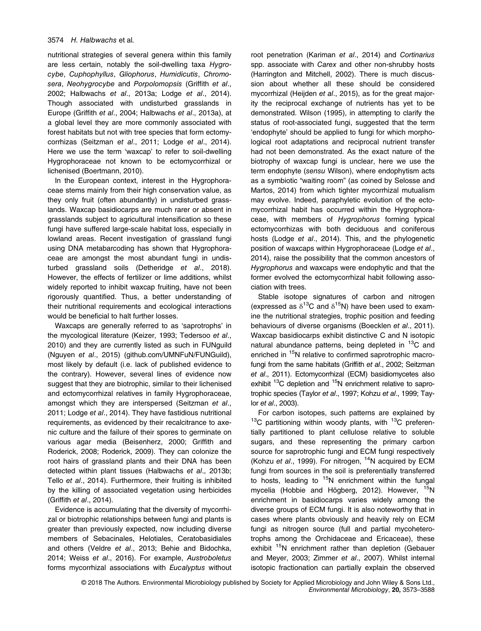nutritional strategies of several genera within this family are less certain, notably the soil-dwelling taxa Hygrocybe, Cuphophyllus, Gliophorus, Humidicutis, Chromosera, Neohygrocybe and Porpolomopsis (Griffith et al., 2002; Halbwachs et al., 2013a; Lodge et al., 2014). Though associated with undisturbed grasslands in Europe (Griffith et al., 2004; Halbwachs et al., 2013a), at a global level they are more commonly associated with forest habitats but not with tree species that form ectomycorrhizas (Seitzman et al., 2011; Lodge et al., 2014). Here we use the term 'waxcap' to refer to soil-dwelling Hygrophoraceae not known to be ectomycorrhizal or lichenised (Boertmann, 2010).

In the European context, interest in the Hygrophoraceae stems mainly from their high conservation value, as they only fruit (often abundantly) in undisturbed grasslands. Waxcap basidiocarps are much rarer or absent in grasslands subject to agricultural intensification so these fungi have suffered large-scale habitat loss, especially in lowland areas. Recent investigation of grassland fungi using DNA metabarcoding has shown that Hygrophoraceae are amongst the most abundant fungi in undisturbed grassland soils (Detheridge et al., 2018). However, the effects of fertilizer or lime additions, whilst widely reported to inhibit waxcap fruiting, have not been rigorously quantified. Thus, a better understanding of their nutritional requirements and ecological interactions would be beneficial to halt further losses.

Waxcaps are generally referred to as 'saprotrophs' in the mycological literature (Keizer, 1993; Tedersoo et al., 2010) and they are currently listed as such in FUNguild (Nguyen et al., 2015) ([github.com/UMNFuN/FUNGuild](http://github.com/UMNFuN/FUNGuild)), most likely by default (i.e. lack of published evidence to the contrary). However, several lines of evidence now suggest that they are biotrophic, similar to their lichenised and ectomycorrhizal relatives in family Hygrophoraceae, amongst which they are interspersed (Seitzman et al., 2011; Lodge et al., 2014). They have fastidious nutritional requirements, as evidenced by their recalcitrance to axenic culture and the failure of their spores to germinate on various agar media (Beisenherz, 2000; Griffith and Roderick, 2008; Roderick, 2009). They can colonize the root hairs of grassland plants and their DNA has been detected within plant tissues (Halbwachs et al., 2013b; Tello et al., 2014). Furthermore, their fruiting is inhibited by the killing of associated vegetation using herbicides (Griffith et al., 2014).

Evidence is accumulating that the diversity of mycorrhizal or biotrophic relationships between fungi and plants is greater than previously expected, now including diverse members of Sebacinales, Helotiales, Ceratobasidiales and others (Veldre et al., 2013; Behie and Bidochka, 2014; Weiss et al., 2016). For example, Austroboletus forms mycorrhizal associations with Eucalyptus without root penetration (Kariman et al., 2014) and Cortinarius spp. associate with Carex and other non-shrubby hosts (Harrington and Mitchell, 2002). There is much discussion about whether all these should be considered mycorrhizal (Heijden et al., 2015), as for the great majority the reciprocal exchange of nutrients has yet to be demonstrated. Wilson (1995), in attempting to clarify the status of root-associated fungi, suggested that the term 'endophyte' should be applied to fungi for which morphological root adaptations and reciprocal nutrient transfer had not been demonstrated. As the exact nature of the biotrophy of waxcap fungi is unclear, here we use the term endophyte (sensu Wilson), where endophytism acts as a symbiotic "waiting room" (as coined by Selosse and Martos, 2014) from which tighter mycorrhizal mutualism may evolve. Indeed, paraphyletic evolution of the ectomycorrhizal habit has occurred within the Hygrophoraceae, with members of Hygrophorus forming typical ectomycorrhizas with both deciduous and coniferous hosts (Lodge et al., 2014). This, and the phylogenetic position of waxcaps within Hygrophoraceae (Lodge et al., 2014), raise the possibility that the common ancestors of Hygrophorus and waxcaps were endophytic and that the former evolved the ectomycorrhizal habit following association with trees.

Stable isotope signatures of carbon and nitrogen (expressed as  $\delta^{13}$ C and  $\delta^{15}$ N) have been used to examine the nutritional strategies, trophic position and feeding behaviours of diverse organisms (Boecklen et al., 2011). Waxcap basidiocarps exhibit distinctive C and N isotopic natural abundance patterns, being depleted in <sup>13</sup>C and enriched in <sup>15</sup>N relative to confirmed saprotrophic macrofungi from the same habitats (Griffith et al., 2002; Seitzman et al., 2011). Ectomycorrhizal (ECM) basidiomycetes also exhibit <sup>13</sup>C depletion and <sup>15</sup>N enrichment relative to saprotrophic species (Taylor et al., 1997; Kohzu et al., 1999; Taylor et al., 2003).

For carbon isotopes, such patterns are explained by  $13^{\circ}$ C partitioning within woody plants, with  $13^{\circ}$ C preferentially partitioned to plant cellulose relative to soluble sugars, and these representing the primary carbon source for saprotrophic fungi and ECM fungi respectively (Kohzu et al., 1999). For nitrogen,  $14N$  acquired by ECM fungi from sources in the soil is preferentially transferred to hosts, leading to  $15N$  enrichment within the fungal mycelia (Hobbie and Högberg, 2012). However, <sup>15</sup>N enrichment in basidiocarps varies widely among the diverse groups of ECM fungi. It is also noteworthy that in cases where plants obviously and heavily rely on ECM fungi as nitrogen source (full and partial mycoheterotrophs among the Orchidaceae and Ericaceae), these exhibit <sup>15</sup>N enrichment rather than depletion (Gebauer and Meyer, 2003; Zimmer et al., 2007). Whilst internal isotopic fractionation can partially explain the observed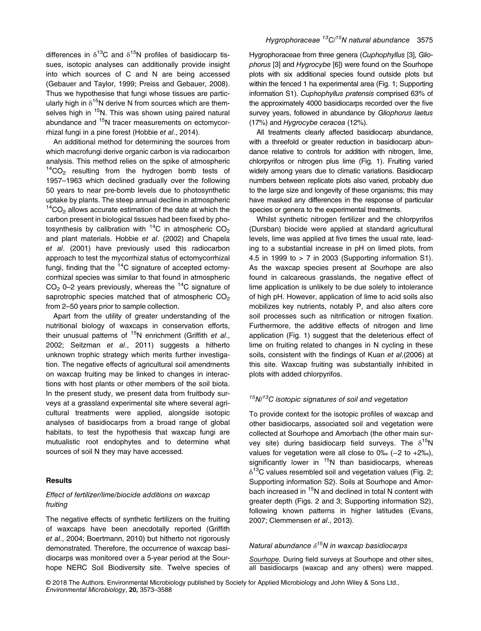differences in  $\delta^{13}$ C and  $\delta^{15}$ N profiles of basidiocarp tissues, isotopic analyses can additionally provide insight into which sources of C and N are being accessed (Gebauer and Taylor, 1999; Preiss and Gebauer, 2008). Thus we hypothesise that fungi whose tissues are particularly high in  $\delta^{15}N$  derive N from sources which are themselves high in <sup>15</sup>N. This was shown using paired natural abundance and 15N tracer measurements on ectomycorrhizal fungi in a pine forest (Hobbie et al., 2014).

An additional method for determining the sources from which macrofungi derive organic carbon is via radiocarbon analysis. This method relies on the spike of atmospheric  $14CO<sub>2</sub>$  resulting from the hydrogen bomb tests of 1957–1963 which declined gradually over the following 50 years to near pre-bomb levels due to photosynthetic uptake by plants. The steep annual decline in atmospheric  $14$ CO<sub>2</sub> allows accurate estimation of the date at which the carbon present in biological tissues had been fixed by photosynthesis by calibration with  $14C$  in atmospheric CO<sub>2</sub> and plant materials. Hobbie et al. (2002) and Chapela et al. (2001) have previously used this radiocarbon approach to test the mycorrhizal status of ectomycorrhizal fungi, finding that the  ${}^{14}$ C signature of accepted ectomycorrhizal species was similar to that found in atmospheric  $CO<sub>2</sub>$  0–2 years previously, whereas the <sup>14</sup>C signature of saprotrophic species matched that of atmospheric  $CO<sub>2</sub>$ from 2–50 years prior to sample collection.

Apart from the utility of greater understanding of the nutritional biology of waxcaps in conservation efforts, their unusual patterns of  $15N$  enrichment (Griffith et al., 2002; Seitzman et al., 2011) suggests a hitherto unknown trophic strategy which merits further investigation. The negative effects of agricultural soil amendments on waxcap fruiting may be linked to changes in interactions with host plants or other members of the soil biota. In the present study, we present data from fruitbody surveys at a grassland experimental site where several agricultural treatments were applied, alongside isotopic analyses of basidiocarps from a broad range of global habitats, to test the hypothesis that waxcap fungi are mutualistic root endophytes and to determine what sources of soil N they may have accessed.

## **Results**

# Effect of fertilizer/lime/biocide additions on waxcap fruiting

The negative effects of synthetic fertilizers on the fruiting of waxcaps have been anecdotally reported (Griffith et al., 2004; Boertmann, 2010) but hitherto not rigorously demonstrated. Therefore, the occurrence of waxcap basidiocarps was monitored over a 5-year period at the Sourhope NERC Soil Biodiversity site. Twelve species of Hygrophoraceae from three genera (Cuphophyllus [3], Gliophorus [3] and Hygrocybe [6]) were found on the Sourhope plots with six additional species found outside plots but within the fenced 1 ha experimental area (Fig. 1; Supporting information S1). Cuphophyllus pratensis comprised 63% of the approximately 4000 basidiocarps recorded over the five survey years, followed in abundance by Gliophorus laetus (17%) and Hygrocybe ceracea (12%).

All treatments clearly affected basidiocarp abundance, with a threefold or greater reduction in basidiocarp abundance relative to controls for addition with nitrogen, lime, chlorpyrifos or nitrogen plus lime (Fig. 1). Fruiting varied widely among years due to climatic variations. Basidiocarp numbers between replicate plots also varied, probably due to the large size and longevity of these organisms; this may have masked any differences in the response of particular species or genera to the experimental treatments.

Whilst synthetic nitrogen fertilizer and the chlorpyrifos (Dursban) biocide were applied at standard agricultural levels, lime was applied at five times the usual rate, leading to a substantial increase in pH on limed plots, from 4.5 in 1999 to  $> 7$  in 2003 (Supporting information S1). As the waxcap species present at Sourhope are also found in calcareous grasslands, the negative effect of lime application is unlikely to be due solely to intolerance of high pH. However, application of lime to acid soils also mobilizes key nutrients, notably P, and also alters core soil processes such as nitrification or nitrogen fixation. Furthermore, the additive effects of nitrogen and lime application (Fig. 1) suggest that the deleterious effect of lime on fruiting related to changes in N cycling in these soils, consistent with the findings of Kuan et al.(2006) at this site. Waxcap fruiting was substantially inhibited in plots with added chlorpyrifos.

# $15N/13C$  isotopic signatures of soil and vegetation

To provide context for the isotopic profiles of waxcap and other basidiocarps, associated soil and vegetation were collected at Sourhope and Amorbach (the other main survey site) during basidiocarp field surveys. The  $\delta^{15}N$ values for vegetation were all close to 0‰ (-2 to +2‰), significantly lower in  $15N$  than basidiocarps, whereas  $\delta^{13}$ C values resembled soil and vegetation values (Fig. 2; Supporting information S2). Soils at Sourhope and Amorbach increased in <sup>15</sup>N and declined in total N content with greater depth (Figs. 2 and 3; Supporting information S2), following known patterns in higher latitudes (Evans, 2007; Clemmensen et al., 2013).

# Natural abundance  $\delta^{15}N$  in waxcap basidiocarps

Sourhope. During field surveys at Sourhope and other sites, all basidiocarps (waxcap and any others) were mapped.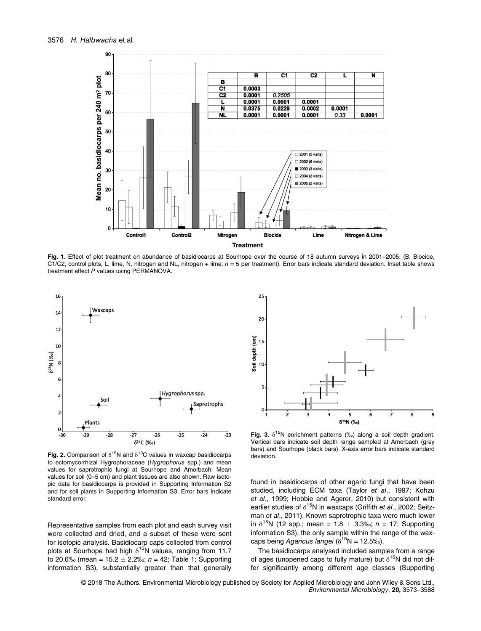

Fig. 1. Effect of plot treatment on abundance of basidiocarps at Sourhope over the course of 18 autumn surveys in 2001–2005. (B. Biocide, C1/C2, control plots, L, lime, N, nitrogen and NL, nitrogen + lime;  $n = 5$  per treatment). Error bars indicate standard deviation. Inset table shows treatment effect P values using PERMANOVA.



Fig. 2. Comparison of  $\delta^{15}N$  and  $\delta^{13}C$  values in waxcap basidiocarps to ectomycorrhizal Hygrophoraceae (Hygrophorus spp.) and mean values for saprotrophic fungi at Sourhope and Amorbach. Mean values for soil (0–5 cm) and plant tissues are also shown. Raw isotopic data for basidiocarps is provided in Supporting Information S2 and for soil plants in Supporting Information S3. Error bars indicate standard error.

Representative samples from each plot and each survey visit were collected and dried, and a subset of these were sent for isotopic analysis. Basidiocarp caps collected from control plots at Sourhope had high  $\delta^{15}N$  values, ranging from 11.7 to 20.6‰ (mean = 15.2  $\pm$  2.2‰; n = 42; Table 1; Supporting information S3), substantially greater than that generally



Fig. 3.  $\delta^{15}N$  enrichment patterns (‰) along a soil depth gradient. Vertical bars indicate soil depth range sampled at Amorbach (grey bars) and Sourhope (black bars). X-axis error bars indicate standard deviation.

found in basidiocarps of other agaric fungi that have been studied, including ECM taxa (Taylor et al., 1997; Kohzu et al., 1999; Hobbie and Agerer, 2010) but consistent with earlier studies of  $\delta^{15}N$  in waxcaps (Griffith et al., 2002; Seitzman et al., 2011). Known saprotrophic taxa were much lower in  $\delta^{15}N$  (12 spp.; mean = 1.8  $\pm$  3.3‰; n = 17; Supporting information S3), the only sample within the range of the waxcaps being Agaricus langei ( $\delta^{15}N = 12.5\%$ ).

The basidiocarps analysed included samples from a range of ages (unopened caps to fully mature) but  $\delta^{15}N$  did not differ significantly among different age classes (Supporting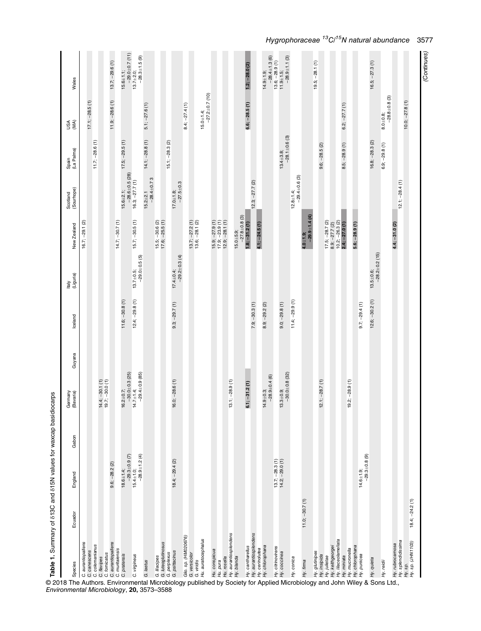| $17.1; -28.5(1)$<br>$6.6; -28.5(1)$<br>$8.0 + 0.8$<br>$-28.1 \pm 0.6$ (3)<br>$14.1; -28.8(1)$<br>$17.5; -29.5(1)$<br>$15.1; -28.3 (2)$<br>$11.7; -28.6(1)$<br>$16.8; -28.3(2)$<br>$8.5; -28.9(1)$<br>$6.9; -29.8(1)$<br>$9.6; -28.5(2)$<br>$13.4 + 3.8$<br>$-28.6 \pm 0.5$ (28)<br>$-29.4 \pm 0.6$ (3)<br>$-28.4 \pm 0.73$<br>$12.3; -27.7(2)$<br>$12.1; -28.4(1)$<br>$16.3; -27.7(1)$<br>$17.0 \pm 1.8$ ;<br>-27.5 $\pm$ 0.3<br>$15.6 + 2.1$ ;<br>$12.8 + 1.4$<br>$15.2 + 2.1$<br>$-29.9 + 1.4(4)$<br>$-27.8 \pm 0.8$ (3)<br>$\begin{array}{c} 15.9; -27.9 \ (1) \\ 17.9; -23.9 \ (1) \\ 12.9; -28.1 \ (1) \end{array}$<br>8.9; $-27.7$ (2)<br>10.2; $-26.3$ (2)<br>2.4; $-27.0$ (1)<br>$14.7; -30.7(1)$<br>$-30.5(1)$<br>$13.7; -27.2(1)$<br>$13.6; -28.1(2)$<br>$15.5; -30.6 (2)$<br>$17.6; -25.5 (1)$<br>$17.5; -28.7(2)$<br>$16.7; -29.1(2)$<br>$5.6; -28.9(1)$<br>$4.4; -31.0(2)$<br>$1.8; -31.2(1)$<br>$4.1; -24.5(1)$<br>$15.0 + 5.9$ ;<br>$4.0 + 1.9$ ;<br>15.7;<br>$-28.2 \pm 0.2$ (15)<br>17.4 $\pm$ 0.4;<br>-29.2 $\pm$ 0.3 (4)<br>$-29.0 + 0.5(5)$<br>$13.5 + 0.6$<br>$13.7 + 0.5$<br>$11.6; -30.8(1)$<br>$12.4; -29.8(1)$<br>$11.4; -29.9(1)$<br>$12.6; -30.2(1)$<br>$9.3; -29.7(1)$<br>$7.9; -30.3(1)$<br>$9.0; -29.8(1)$<br>$8.9; -29.2(2)$<br>$9.7; -29.4(1)$<br>$-30.0 + 0.3(25)$<br>$14.7 \pm 1.4;$<br>-29.4 $\pm$ 0.9 (85)<br>$-30.0 + 0.8(32)$<br>$14.9 \pm 0.3$ ;<br>-28.9 $\pm$ 0.4 (6)<br>$16.0; -28.6(1)$<br>$13.1; -28.9(1)$<br>$12.1; -28.7(1)$<br>$19.2; -28.9(1)$<br>$14.4; -30.1(1)$<br>$19.7; -30.0(1)$<br>$6.1; -31.2(1)$<br>$16.2 + 0.7$ ;<br>$13.3 + 0.9$ ;<br>$15.4 \pm 1.0$ ;<br>-28.9 $\pm 1.2$ (4)<br>$-29.3 + 0.9$ (7)<br>$-29.3 + 0.8$ (9)<br>$(-28.3(1))$<br>$(-29.0(1))$<br>$18.4; -29.4 (2)$<br>$9.6; -28.2(2)$<br>$18.6 + 1.4$ ;<br>$14.6 + 1.9$<br>$13.7$ ;<br>$14.2$ ;<br>$11.0; -30.7(1)$<br>, Hy. cantharellus<br>Hy. aurantiosplendens<br>. Hy. cerinolutea<br>Hu. rosella<br>Hy. aurantiosplendens<br>Glio. sp. (HM020676)<br>G. versicolor<br>: G. viridis<br>Hu. auratocephalus<br>Hy, glutinipes<br>Hy, inisipida<br>Hy, lulietae<br>. Hy, leathgeorgei<br>Hy, minata<br>Hy, mucronella<br>. Hy, chlorophana<br>Hy. splendidissima<br>C. flavipes<br>C. fornicatus<br>C. aurantiopallens<br>C. muritaiensis<br>C. aurantiopallens<br>G. lilacipes<br>G. luteoglutinosus<br>G. perplexus<br>Hy. rubrocarnosa<br>C. canescens<br>C. colemanianus<br>Hy. chlorophana<br>Hy. citrinovirens<br>Hu. conspicua<br>Hu. pura<br>G. psittacinus<br>Hy. coccinea<br>pratensis<br>C. virgineus<br>punicea<br>Hy. blanda<br>Hy. conica<br>Hy. quieta<br>G. laetus<br>Hy. firma<br>Hy. reidii<br>Нy.<br>C<br>© 2018 The Authors. Environmental Microbiology published by Society for Applied Microbiology and John Wiley & Sons Ltd., | Species                      | Ecuado | England | Gabon | Germany<br>(Bavaria) | Guyana | lceland | Italy<br>(Liguria) | New Zealand | (Sourhope)<br>Scotland | (La Palma)<br>Spain | (MA)<br>USA                             | Wales                                                       |
|------------------------------------------------------------------------------------------------------------------------------------------------------------------------------------------------------------------------------------------------------------------------------------------------------------------------------------------------------------------------------------------------------------------------------------------------------------------------------------------------------------------------------------------------------------------------------------------------------------------------------------------------------------------------------------------------------------------------------------------------------------------------------------------------------------------------------------------------------------------------------------------------------------------------------------------------------------------------------------------------------------------------------------------------------------------------------------------------------------------------------------------------------------------------------------------------------------------------------------------------------------------------------------------------------------------------------------------------------------------------------------------------------------------------------------------------------------------------------------------------------------------------------------------------------------------------------------------------------------------------------------------------------------------------------------------------------------------------------------------------------------------------------------------------------------------------------------------------------------------------------------------------------------------------------------------------------------------------------------------------------------------------------------------------------------------------------------------------------------------------------------------------------------------------------------------------------------------------------------------------------------------------------------------------------------------------------------------------------------------------------------------------------------------------------------------------------------------------------------------------------------------------------------------------------------------------------------------------------------------------------------------------------------------------------------------------------------------------------------------------------------------------------|------------------------------|--------|---------|-------|----------------------|--------|---------|--------------------|-------------|------------------------|---------------------|-----------------------------------------|-------------------------------------------------------------|
|                                                                                                                                                                                                                                                                                                                                                                                                                                                                                                                                                                                                                                                                                                                                                                                                                                                                                                                                                                                                                                                                                                                                                                                                                                                                                                                                                                                                                                                                                                                                                                                                                                                                                                                                                                                                                                                                                                                                                                                                                                                                                                                                                                                                                                                                                                                                                                                                                                                                                                                                                                                                                                                                                                                                                                              |                              |        |         |       |                      |        |         |                    |             |                        |                     |                                         |                                                             |
|                                                                                                                                                                                                                                                                                                                                                                                                                                                                                                                                                                                                                                                                                                                                                                                                                                                                                                                                                                                                                                                                                                                                                                                                                                                                                                                                                                                                                                                                                                                                                                                                                                                                                                                                                                                                                                                                                                                                                                                                                                                                                                                                                                                                                                                                                                                                                                                                                                                                                                                                                                                                                                                                                                                                                                              |                              |        |         |       |                      |        |         |                    |             |                        |                     |                                         |                                                             |
|                                                                                                                                                                                                                                                                                                                                                                                                                                                                                                                                                                                                                                                                                                                                                                                                                                                                                                                                                                                                                                                                                                                                                                                                                                                                                                                                                                                                                                                                                                                                                                                                                                                                                                                                                                                                                                                                                                                                                                                                                                                                                                                                                                                                                                                                                                                                                                                                                                                                                                                                                                                                                                                                                                                                                                              |                              |        |         |       |                      |        |         |                    |             |                        |                     |                                         |                                                             |
|                                                                                                                                                                                                                                                                                                                                                                                                                                                                                                                                                                                                                                                                                                                                                                                                                                                                                                                                                                                                                                                                                                                                                                                                                                                                                                                                                                                                                                                                                                                                                                                                                                                                                                                                                                                                                                                                                                                                                                                                                                                                                                                                                                                                                                                                                                                                                                                                                                                                                                                                                                                                                                                                                                                                                                              |                              |        |         |       |                      |        |         |                    |             |                        |                     | $11.9; -28.6(1)$                        | $13.7; -29.6(1)$                                            |
|                                                                                                                                                                                                                                                                                                                                                                                                                                                                                                                                                                                                                                                                                                                                                                                                                                                                                                                                                                                                                                                                                                                                                                                                                                                                                                                                                                                                                                                                                                                                                                                                                                                                                                                                                                                                                                                                                                                                                                                                                                                                                                                                                                                                                                                                                                                                                                                                                                                                                                                                                                                                                                                                                                                                                                              |                              |        |         |       |                      |        |         |                    |             |                        |                     |                                         | $15.6 \pm 1.1$ ;                                            |
|                                                                                                                                                                                                                                                                                                                                                                                                                                                                                                                                                                                                                                                                                                                                                                                                                                                                                                                                                                                                                                                                                                                                                                                                                                                                                                                                                                                                                                                                                                                                                                                                                                                                                                                                                                                                                                                                                                                                                                                                                                                                                                                                                                                                                                                                                                                                                                                                                                                                                                                                                                                                                                                                                                                                                                              |                              |        |         |       |                      |        |         |                    |             |                        |                     |                                         | $-29.0 + 0.7(11)$<br>$13.7 \pm 2.0;$<br>$-28.3 \pm 1.5$ (9) |
|                                                                                                                                                                                                                                                                                                                                                                                                                                                                                                                                                                                                                                                                                                                                                                                                                                                                                                                                                                                                                                                                                                                                                                                                                                                                                                                                                                                                                                                                                                                                                                                                                                                                                                                                                                                                                                                                                                                                                                                                                                                                                                                                                                                                                                                                                                                                                                                                                                                                                                                                                                                                                                                                                                                                                                              |                              |        |         |       |                      |        |         |                    |             |                        |                     | $5.1; -27.6(1)$                         |                                                             |
|                                                                                                                                                                                                                                                                                                                                                                                                                                                                                                                                                                                                                                                                                                                                                                                                                                                                                                                                                                                                                                                                                                                                                                                                                                                                                                                                                                                                                                                                                                                                                                                                                                                                                                                                                                                                                                                                                                                                                                                                                                                                                                                                                                                                                                                                                                                                                                                                                                                                                                                                                                                                                                                                                                                                                                              |                              |        |         |       |                      |        |         |                    |             |                        |                     |                                         |                                                             |
|                                                                                                                                                                                                                                                                                                                                                                                                                                                                                                                                                                                                                                                                                                                                                                                                                                                                                                                                                                                                                                                                                                                                                                                                                                                                                                                                                                                                                                                                                                                                                                                                                                                                                                                                                                                                                                                                                                                                                                                                                                                                                                                                                                                                                                                                                                                                                                                                                                                                                                                                                                                                                                                                                                                                                                              |                              |        |         |       |                      |        |         |                    |             |                        |                     |                                         |                                                             |
|                                                                                                                                                                                                                                                                                                                                                                                                                                                                                                                                                                                                                                                                                                                                                                                                                                                                                                                                                                                                                                                                                                                                                                                                                                                                                                                                                                                                                                                                                                                                                                                                                                                                                                                                                                                                                                                                                                                                                                                                                                                                                                                                                                                                                                                                                                                                                                                                                                                                                                                                                                                                                                                                                                                                                                              |                              |        |         |       |                      |        |         |                    |             |                        |                     |                                         |                                                             |
|                                                                                                                                                                                                                                                                                                                                                                                                                                                                                                                                                                                                                                                                                                                                                                                                                                                                                                                                                                                                                                                                                                                                                                                                                                                                                                                                                                                                                                                                                                                                                                                                                                                                                                                                                                                                                                                                                                                                                                                                                                                                                                                                                                                                                                                                                                                                                                                                                                                                                                                                                                                                                                                                                                                                                                              |                              |        |         |       |                      |        |         |                    |             |                        |                     | $8.4:-27.4(1)$                          |                                                             |
|                                                                                                                                                                                                                                                                                                                                                                                                                                                                                                                                                                                                                                                                                                                                                                                                                                                                                                                                                                                                                                                                                                                                                                                                                                                                                                                                                                                                                                                                                                                                                                                                                                                                                                                                                                                                                                                                                                                                                                                                                                                                                                                                                                                                                                                                                                                                                                                                                                                                                                                                                                                                                                                                                                                                                                              |                              |        |         |       |                      |        |         |                    |             |                        |                     |                                         |                                                             |
|                                                                                                                                                                                                                                                                                                                                                                                                                                                                                                                                                                                                                                                                                                                                                                                                                                                                                                                                                                                                                                                                                                                                                                                                                                                                                                                                                                                                                                                                                                                                                                                                                                                                                                                                                                                                                                                                                                                                                                                                                                                                                                                                                                                                                                                                                                                                                                                                                                                                                                                                                                                                                                                                                                                                                                              |                              |        |         |       |                      |        |         |                    |             |                        |                     | $15.0 \pm 1.4;$<br>-27.2 $\pm$ 0.7 (10) |                                                             |
|                                                                                                                                                                                                                                                                                                                                                                                                                                                                                                                                                                                                                                                                                                                                                                                                                                                                                                                                                                                                                                                                                                                                                                                                                                                                                                                                                                                                                                                                                                                                                                                                                                                                                                                                                                                                                                                                                                                                                                                                                                                                                                                                                                                                                                                                                                                                                                                                                                                                                                                                                                                                                                                                                                                                                                              |                              |        |         |       |                      |        |         |                    |             |                        |                     |                                         |                                                             |
|                                                                                                                                                                                                                                                                                                                                                                                                                                                                                                                                                                                                                                                                                                                                                                                                                                                                                                                                                                                                                                                                                                                                                                                                                                                                                                                                                                                                                                                                                                                                                                                                                                                                                                                                                                                                                                                                                                                                                                                                                                                                                                                                                                                                                                                                                                                                                                                                                                                                                                                                                                                                                                                                                                                                                                              |                              |        |         |       |                      |        |         |                    |             |                        |                     |                                         |                                                             |
|                                                                                                                                                                                                                                                                                                                                                                                                                                                                                                                                                                                                                                                                                                                                                                                                                                                                                                                                                                                                                                                                                                                                                                                                                                                                                                                                                                                                                                                                                                                                                                                                                                                                                                                                                                                                                                                                                                                                                                                                                                                                                                                                                                                                                                                                                                                                                                                                                                                                                                                                                                                                                                                                                                                                                                              |                              |        |         |       |                      |        |         |                    |             |                        |                     |                                         |                                                             |
|                                                                                                                                                                                                                                                                                                                                                                                                                                                                                                                                                                                                                                                                                                                                                                                                                                                                                                                                                                                                                                                                                                                                                                                                                                                                                                                                                                                                                                                                                                                                                                                                                                                                                                                                                                                                                                                                                                                                                                                                                                                                                                                                                                                                                                                                                                                                                                                                                                                                                                                                                                                                                                                                                                                                                                              |                              |        |         |       |                      |        |         |                    |             |                        |                     |                                         |                                                             |
|                                                                                                                                                                                                                                                                                                                                                                                                                                                                                                                                                                                                                                                                                                                                                                                                                                                                                                                                                                                                                                                                                                                                                                                                                                                                                                                                                                                                                                                                                                                                                                                                                                                                                                                                                                                                                                                                                                                                                                                                                                                                                                                                                                                                                                                                                                                                                                                                                                                                                                                                                                                                                                                                                                                                                                              |                              |        |         |       |                      |        |         |                    |             |                        |                     |                                         | $1.2; -28.0(2)$                                             |
|                                                                                                                                                                                                                                                                                                                                                                                                                                                                                                                                                                                                                                                                                                                                                                                                                                                                                                                                                                                                                                                                                                                                                                                                                                                                                                                                                                                                                                                                                                                                                                                                                                                                                                                                                                                                                                                                                                                                                                                                                                                                                                                                                                                                                                                                                                                                                                                                                                                                                                                                                                                                                                                                                                                                                                              |                              |        |         |       |                      |        |         |                    |             |                        |                     |                                         |                                                             |
|                                                                                                                                                                                                                                                                                                                                                                                                                                                                                                                                                                                                                                                                                                                                                                                                                                                                                                                                                                                                                                                                                                                                                                                                                                                                                                                                                                                                                                                                                                                                                                                                                                                                                                                                                                                                                                                                                                                                                                                                                                                                                                                                                                                                                                                                                                                                                                                                                                                                                                                                                                                                                                                                                                                                                                              |                              |        |         |       |                      |        |         |                    |             |                        |                     |                                         | $-28.4 \pm 1.3$ (6)<br>$14.9 + 1.9$ ;                       |
|                                                                                                                                                                                                                                                                                                                                                                                                                                                                                                                                                                                                                                                                                                                                                                                                                                                                                                                                                                                                                                                                                                                                                                                                                                                                                                                                                                                                                                                                                                                                                                                                                                                                                                                                                                                                                                                                                                                                                                                                                                                                                                                                                                                                                                                                                                                                                                                                                                                                                                                                                                                                                                                                                                                                                                              |                              |        |         |       |                      |        |         |                    |             |                        |                     |                                         | $13.6; -28.9(1)$<br>$11.9 + 1.5$ ;                          |
|                                                                                                                                                                                                                                                                                                                                                                                                                                                                                                                                                                                                                                                                                                                                                                                                                                                                                                                                                                                                                                                                                                                                                                                                                                                                                                                                                                                                                                                                                                                                                                                                                                                                                                                                                                                                                                                                                                                                                                                                                                                                                                                                                                                                                                                                                                                                                                                                                                                                                                                                                                                                                                                                                                                                                                              |                              |        |         |       |                      |        |         |                    |             |                        |                     |                                         | $-28.9 + 1.1(3)$                                            |
|                                                                                                                                                                                                                                                                                                                                                                                                                                                                                                                                                                                                                                                                                                                                                                                                                                                                                                                                                                                                                                                                                                                                                                                                                                                                                                                                                                                                                                                                                                                                                                                                                                                                                                                                                                                                                                                                                                                                                                                                                                                                                                                                                                                                                                                                                                                                                                                                                                                                                                                                                                                                                                                                                                                                                                              |                              |        |         |       |                      |        |         |                    |             |                        |                     |                                         |                                                             |
|                                                                                                                                                                                                                                                                                                                                                                                                                                                                                                                                                                                                                                                                                                                                                                                                                                                                                                                                                                                                                                                                                                                                                                                                                                                                                                                                                                                                                                                                                                                                                                                                                                                                                                                                                                                                                                                                                                                                                                                                                                                                                                                                                                                                                                                                                                                                                                                                                                                                                                                                                                                                                                                                                                                                                                              |                              |        |         |       |                      |        |         |                    |             |                        |                     |                                         |                                                             |
|                                                                                                                                                                                                                                                                                                                                                                                                                                                                                                                                                                                                                                                                                                                                                                                                                                                                                                                                                                                                                                                                                                                                                                                                                                                                                                                                                                                                                                                                                                                                                                                                                                                                                                                                                                                                                                                                                                                                                                                                                                                                                                                                                                                                                                                                                                                                                                                                                                                                                                                                                                                                                                                                                                                                                                              |                              |        |         |       |                      |        |         |                    |             |                        |                     |                                         | $19.5; -28.1(1)$                                            |
|                                                                                                                                                                                                                                                                                                                                                                                                                                                                                                                                                                                                                                                                                                                                                                                                                                                                                                                                                                                                                                                                                                                                                                                                                                                                                                                                                                                                                                                                                                                                                                                                                                                                                                                                                                                                                                                                                                                                                                                                                                                                                                                                                                                                                                                                                                                                                                                                                                                                                                                                                                                                                                                                                                                                                                              |                              |        |         |       |                      |        |         |                    |             |                        |                     |                                         |                                                             |
|                                                                                                                                                                                                                                                                                                                                                                                                                                                                                                                                                                                                                                                                                                                                                                                                                                                                                                                                                                                                                                                                                                                                                                                                                                                                                                                                                                                                                                                                                                                                                                                                                                                                                                                                                                                                                                                                                                                                                                                                                                                                                                                                                                                                                                                                                                                                                                                                                                                                                                                                                                                                                                                                                                                                                                              |                              |        |         |       |                      |        |         |                    |             |                        |                     |                                         |                                                             |
|                                                                                                                                                                                                                                                                                                                                                                                                                                                                                                                                                                                                                                                                                                                                                                                                                                                                                                                                                                                                                                                                                                                                                                                                                                                                                                                                                                                                                                                                                                                                                                                                                                                                                                                                                                                                                                                                                                                                                                                                                                                                                                                                                                                                                                                                                                                                                                                                                                                                                                                                                                                                                                                                                                                                                                              |                              |        |         |       |                      |        |         |                    |             |                        |                     | $6.2; -27.7(1)$                         |                                                             |
|                                                                                                                                                                                                                                                                                                                                                                                                                                                                                                                                                                                                                                                                                                                                                                                                                                                                                                                                                                                                                                                                                                                                                                                                                                                                                                                                                                                                                                                                                                                                                                                                                                                                                                                                                                                                                                                                                                                                                                                                                                                                                                                                                                                                                                                                                                                                                                                                                                                                                                                                                                                                                                                                                                                                                                              |                              |        |         |       |                      |        |         |                    |             |                        |                     |                                         |                                                             |
|                                                                                                                                                                                                                                                                                                                                                                                                                                                                                                                                                                                                                                                                                                                                                                                                                                                                                                                                                                                                                                                                                                                                                                                                                                                                                                                                                                                                                                                                                                                                                                                                                                                                                                                                                                                                                                                                                                                                                                                                                                                                                                                                                                                                                                                                                                                                                                                                                                                                                                                                                                                                                                                                                                                                                                              |                              |        |         |       |                      |        |         |                    |             |                        |                     |                                         |                                                             |
|                                                                                                                                                                                                                                                                                                                                                                                                                                                                                                                                                                                                                                                                                                                                                                                                                                                                                                                                                                                                                                                                                                                                                                                                                                                                                                                                                                                                                                                                                                                                                                                                                                                                                                                                                                                                                                                                                                                                                                                                                                                                                                                                                                                                                                                                                                                                                                                                                                                                                                                                                                                                                                                                                                                                                                              |                              |        |         |       |                      |        |         |                    |             |                        |                     |                                         | $16.5; -27.3(1)$                                            |
|                                                                                                                                                                                                                                                                                                                                                                                                                                                                                                                                                                                                                                                                                                                                                                                                                                                                                                                                                                                                                                                                                                                                                                                                                                                                                                                                                                                                                                                                                                                                                                                                                                                                                                                                                                                                                                                                                                                                                                                                                                                                                                                                                                                                                                                                                                                                                                                                                                                                                                                                                                                                                                                                                                                                                                              |                              |        |         |       |                      |        |         |                    |             |                        |                     | $-28.8 + 0.8$ (3)                       |                                                             |
|                                                                                                                                                                                                                                                                                                                                                                                                                                                                                                                                                                                                                                                                                                                                                                                                                                                                                                                                                                                                                                                                                                                                                                                                                                                                                                                                                                                                                                                                                                                                                                                                                                                                                                                                                                                                                                                                                                                                                                                                                                                                                                                                                                                                                                                                                                                                                                                                                                                                                                                                                                                                                                                                                                                                                                              |                              |        |         |       |                      |        |         |                    |             |                        |                     |                                         |                                                             |
| $-24.2(1)$<br>18.4;                                                                                                                                                                                                                                                                                                                                                                                                                                                                                                                                                                                                                                                                                                                                                                                                                                                                                                                                                                                                                                                                                                                                                                                                                                                                                                                                                                                                                                                                                                                                                                                                                                                                                                                                                                                                                                                                                                                                                                                                                                                                                                                                                                                                                                                                                                                                                                                                                                                                                                                                                                                                                                                                                                                                                          | Ну. sp.<br>Ну. sp. (JHN1103) |        |         |       |                      |        |         |                    |             |                        |                     | $10.0; -27.8(1)$                        |                                                             |

Hygrophoraceae<sup>13</sup>C/<sup>15</sup>N natural abundance 3577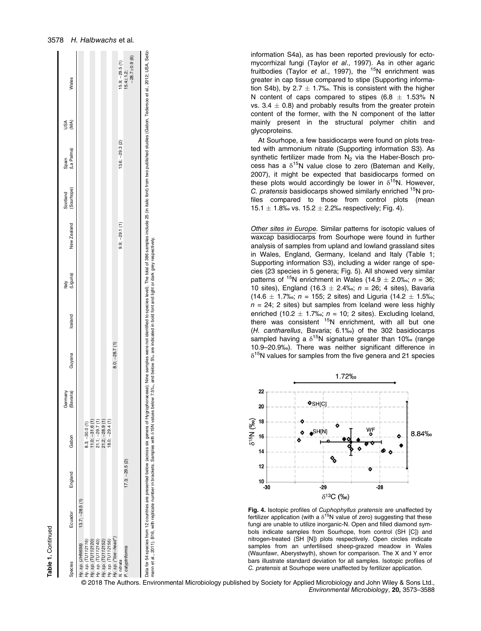| T   |  |
|-----|--|
| - 7 |  |

Species Ecuador England Gabon

Ecuador  $137$ 

Species  $\epsilon$ 

/ ILINICOD

 $\ddot{ }$ 

England

Germany<br>(Bavaria)

Gabon

(Bavaria) Guyana Iceland

Guyana

Iceland

Italy<br>(Liquria)

(Liguria) New Zealand

**Zealand** New

**Scotland** (Sourhope)

Sourhope)

Spain<br>(La Pali (La Palma)

USA

(MA) Wales

**Males** 

|                                      |                   |                 | Data for 54 species from 12 countries are presented below (across six genera de Hygrophoraceae); Nine samples were not identified to species level). The total of 386 samples include 25 (in italic font) from two published s<br>mann et al., 2011). B16, with replicate number in brackets. Samples with S15N values below 7.5‰, and below 5‰ are indicated in bold font and light or dark grey respectively. |                     |                  |                      |
|--------------------------------------|-------------------|-----------------|-----------------------------------------------------------------------------------------------------------------------------------------------------------------------------------------------------------------------------------------------------------------------------------------------------------------------------------------------------------------------------------------------------------------|---------------------|------------------|----------------------|
| $-28.7 + 0.9(6)$<br>$15.4 \pm 1.2$ ; |                   |                 |                                                                                                                                                                                                                                                                                                                                                                                                                 | $17.3; -29.5(2)$    |                  | P. calyptriformis    |
| $15.9; -29.5(1)$                     | $13.6; -29.3 (2)$ | $9.9; -29.1(1)$ |                                                                                                                                                                                                                                                                                                                                                                                                                 |                     |                  | N. nitrata           |
|                                      |                   |                 | $8.0; -28.7(1)$                                                                                                                                                                                                                                                                                                                                                                                                 |                     |                  | Hy. sp. ("toe-head") |
|                                      |                   |                 |                                                                                                                                                                                                                                                                                                                                                                                                                 | $18.0:-29.4(1)$     |                  | Hy. sp. (TU112156)   |
|                                      |                   |                 |                                                                                                                                                                                                                                                                                                                                                                                                                 | $21.2$ ; $-28.9(1)$ |                  | Hy. sp. (TU112152)   |
|                                      |                   |                 |                                                                                                                                                                                                                                                                                                                                                                                                                 | $21.1; -29.7(1)$    |                  | Hy. sp. (TU112140)   |
|                                      |                   |                 |                                                                                                                                                                                                                                                                                                                                                                                                                 | $11.0; -31.6(1)$    |                  | Hy. sp. (TU112120)   |
|                                      |                   |                 |                                                                                                                                                                                                                                                                                                                                                                                                                 | $8.3; -30.0(1)$     |                  | Hy. sp. (TU112116)   |
|                                      |                   |                 |                                                                                                                                                                                                                                                                                                                                                                                                                 |                     | $13.7: -28.5(1)$ | Hy. sp. (JHN698)     |

information S4a), as has been reported previously for ectomycorrhizal fungi (Taylor et al., 1997). As in other agaric fruitbodies (Taylor et al., 1997), the  $15N$  enrichment was greater in cap tissue compared to stipe (Supporting information S4b), by 2.7  $\pm$  1.7‰. This is consistent with the higher N content of caps compared to stipes (6.8  $\pm$  1.53% N vs.  $3.4 \pm 0.8$ ) and probably results from the greater protein content of the former, with the N component of the latter mainly present in the structural polymer chitin and glycoproteins.

At Sourhope, a few basidiocarps were found on plots treated with ammonium nitrate (Supporting information S3). As synthetic fertilizer made from  $N_2$  via the Haber-Bosch process has a  $\delta^{15}N$  value close to zero (Bateman and Kelly, 2007), it might be expected that basidiocarps formed on these plots would accordingly be lower in  $\delta^{15}N$ . However, C. pratensis basidiocarps showed similarly enriched <sup>15</sup>N profiles compared to those from control plots (mean 15.1  $\pm$  1.8‰ vs. 15.2  $\pm$  2.2‰ respectively: Fig. 4).

Other sites in Europe. Similar patterns for isotopic values of waxcap basidiocarps from Sourhope were found in further analysis of samples from upland and lowland grassland sites in Wales, England, Germany, Iceland and Italy (Table 1; Supporting information S3), including a wider range of species (23 species in 5 genera; Fig. 5). All showed very similar patterns of <sup>15</sup>N enrichment in Wales (14.9  $\pm$  2.0‰; n = 36; 10 sites), England (16.3  $\pm$  2.4‰; n = 26; 4 sites), Bavaria (14.6  $\pm$  1.7‰; n = 155; 2 sites) and Liguria (14.2  $\pm$  1.5‰;  $n = 24$ ; 2 sites) but samples from Iceland were less highly enriched (10.2  $\pm$  1.7‰; n = 10; 2 sites). Excluding Iceland, there was consistent  $15N$  enrichment, with all but one (H. cantharellus, Bavaria; 6.1‰) of the 302 basidiocarps sampled having a  $\delta^{15}N$  signature greater than 10‰ (range 10.9–20.9‰). There was neither significant difference in  $\delta^{15}$ N values for samples from the five genera and 21 species



Fig. 4. Isotopic profiles of *Cuphophyllus pratensis* are unaffected by fertilizer application (with a  $\delta^{15}N$  value of zero) suggesting that these fungi are unable to utilize inorganic-N. Open and filled diamond symbols indicate samples from Sourhope, from control (SH [C]) and nitrogen-treated (SH [N]) plots respectively. Open circles indicate samples from an unfertilised sheep-grazed meadow in Wales (Waunfawr, Aberystwyth), shown for comparison. The X and Y error bars illustrate standard deviation for all samples. Isotopic profiles of C. pratensis at Sourhope were unaffected by fertilizer application.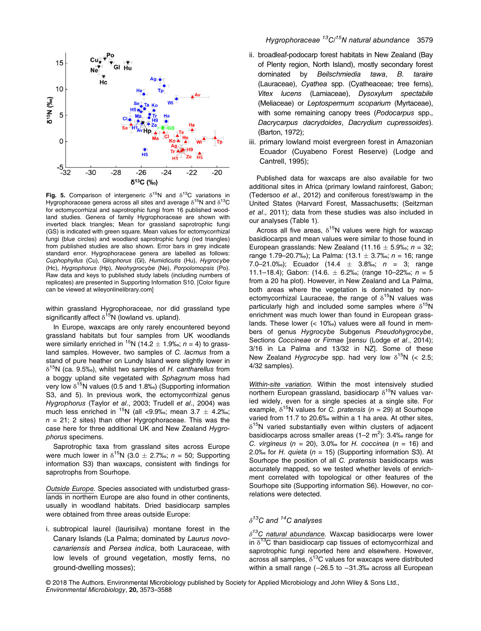

Fig. 5. Comparison of intergeneric  $\delta^{15}N$  and  $\delta^{13}C$  variations in Hygrophoraceae genera across all sites and average  $\delta^{15}N$  and  $\delta^{13}C$ for ectomycorrhizal and saprotrophic fungi from 16 published woodland studies. Genera of family Hygrophoraceae are shown with inverted black triangles; Mean for grassland saprotrophic fungi (GS) is indicated with green square. Mean values for ectomycorrhizal fungi (blue circles) and woodland saprotrophic fungi (red triangles) from published studies are also shown. Error bars in grey indicate standard error. Hygrophoraceae genera are labelled as follows: Cuphophyllus (Cu), Gliophorus (Gl), Humidicutis (Hu), Hygrocybe (Hc), Hygrophorus (Hp), Neohygrocybe (Ne), Porpolomopsis (Po). Raw data and keys to published study labels (including numbers of replicates) are presented in Supporting Information S10. [Color figure can be viewed at [wileyonlinelibrary.com](http://wileyonlinelibrary.com)]

within grassland Hygrophoraceae, nor did grassland type significantly affect  $\delta^{15}N$  (lowland vs. upland).

In Europe, waxcaps are only rarely encountered beyond grassland habitats but four samples from UK woodlands were similarly enriched in <sup>15</sup>N (14.2  $\pm$  1.9‰; n = 4) to grassland samples. However, two samples of C. lacmus from a stand of pure heather on Lundy Island were slightly lower in  $\delta^{15}$ N (ca. 9.5‰), whilst two samples of H. cantharellus from a boggy upland site vegetated with Sphagnum moss had very low  $\delta^{15}$ N values (0.5 and 1.8‰) (Supporting information S3, and 5). In previous work, the ectomycorrhizal genus Hygrophorus (Taylor et al., 2003; Trudell et al., 2004) was much less enriched in <sup>15</sup>N (all <9.9‰; mean 3.7  $\pm$  4.2‰;  $n = 21$ ; 2 sites) than other Hygrophoraceae. This was the case here for three additional UK and New Zealand Hygrophorus specimens.

Saprotrophic taxa from grassland sites across Europe were much lower in  $\delta^{15}N$  (3.0  $\pm$  2.7‰; n = 50; Supporting information S3) than waxcaps, consistent with findings for saprotrophs from Sourhope.

Outside Europe. Species associated with undisturbed grasslands in northern Europe are also found in other continents, usually in woodland habitats. Dried basidiocarp samples were obtained from three areas outside Europe:

i. subtropical laurel (laurisilva) montane forest in the Canary Islands (La Palma; dominated by Laurus novocanariensis and Persea indica, both Lauraceae, with low levels of ground vegetation, mostly ferns, no ground-dwelling mosses);

- ii. broadleaf-podocarp forest habitats in New Zealand (Bay of Plenty region, North Island), mostly secondary forest dominated by Beilschmiedia tawa, B. taraire (Lauraceae), Cyathea spp. (Cyatheaceae; tree ferns), Vitex lucens (Lamiaceae), Dysoxylum spectabile (Meliaceae) or Leptospermum scoparium (Myrtaceae), with some remaining canopy trees (Podocarpus spp., Dacrycarpus dacrydoides, Dacrydium cupressoides). (Barton, 1972);
- iii. primary lowland moist evergreen forest in Amazonian Ecuador (Cuyabeno Forest Reserve) (Lodge and Cantrell, 1995);

Published data for waxcaps are also available for two additional sites in Africa (primary lowland rainforest, Gabon; (Tedersoo et al., 2012) and coniferous forest/swamp in the United States (Harvard Forest, Massachusetts; (Seitzman et al., 2011); data from these studies was also included in our analyses (Table 1).

Across all five areas,  $\delta^{15}N$  values were high for waxcap basidiocarps and mean values were similar to those found in European grasslands: New Zealand (11.16  $\pm$  5.9‰; n = 32; range 1.79–20.7‰); La Palma:  $(13.1 \pm 3.7\%)$ ; n = 16; range 7.0–21.0‰); Ecuador (14.4  $\pm$  3.8‰; n = 3; range 11.1–18.4); Gabon: (14.6.  $\pm$  6.2‰; (range 10–22‰; n = 5 from a 20 ha plot). However, in New Zealand and La Palma, both areas where the vegetation is dominated by nonectomycorrhizal Lauraceae, the range of  $\delta^{15}N$  values was particularly high and included some samples where  $\delta^{15}N$ enrichment was much lower than found in European grasslands. These lower (< 10‰) values were all found in members of genus Hygrocybe Subgenus Pseudohygrocybe, Sections Coccineae or Firmae [sensu (Lodge et al., 2014); 3/16 in La Palma and 13/32 in NZ]. Some of these New Zealand Hygrocybe spp. had very low  $\delta^{15}N$  (< 2.5; 4/32 samples).

Within-site variation. Within the most intensively studied northern European grassland, basidiocarp  $\delta^{15}$ N values varied widely, even for a single species at a single site. For example,  $\delta^{15}N$  values for C. pratensis (n = 29) at Sourhope varied from 11.7 to 20.6‰ within a 1 ha area. At other sites,  $\delta^{15}$ N varied substantially even within clusters of adjacent basidiocarps across smaller areas  $(1-2 \text{ m}^2)$ : 3.4‰ range for C. virgineus ( $n = 20$ ), 3.0‰ for H. coccinea ( $n = 16$ ) and 2.0‰ for H. quieta ( $n = 15$ ) (Supporting information S3). At Sourhope the position of all C. pratensis basidiocarps was accurately mapped, so we tested whether levels of enrichment correlated with topological or other features of the Sourhope site (Supporting information S6). However, no correlations were detected.

# $\delta^{13}$ C and <sup>14</sup>C analyses

 $\delta^{13}$ C natural abundance. Waxcap basidiocarps were lower  $in \delta^{13}$ C than basidiocarp cap tissues of ectomycorrhizal and saprotrophic fungi reported here and elsewhere. However,  $across$  all samples,  $\delta^{13}$ C values for waxcaps were distributed within a small range (-26.5 to -31.3‰ across all European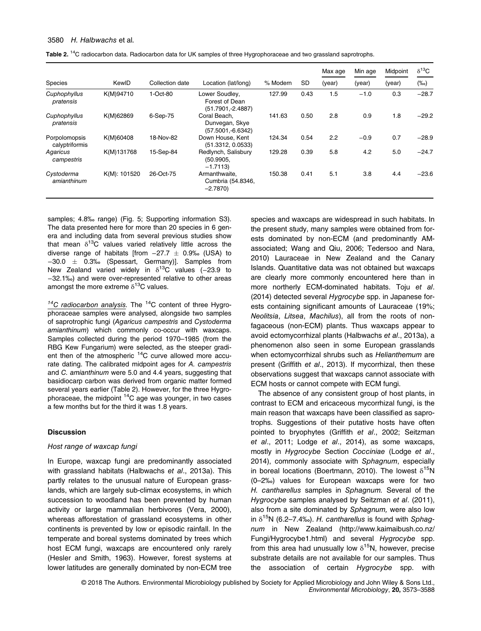|                                 |              |                 |                                                         |          |           | Max age | Min age | Midpoint | $\delta^{13}C$ |
|---------------------------------|--------------|-----------------|---------------------------------------------------------|----------|-----------|---------|---------|----------|----------------|
| <b>Species</b>                  | KewID        | Collection date | Location (lat/long)                                     | % Modern | <b>SD</b> | (year)  | (year)  | (year)   | $(\%circ)$     |
| Cuphophyllus<br>pratensis       | K(M)94710    | 1-Oct-80        | Lower Soudley,<br>Forest of Dean<br>$(51.7901,-2.4887)$ | 127.99   | 0.43      | 1.5     | $-1.0$  | 0.3      | $-28.7$        |
| Cuphophyllus<br>pratensis       | K(M)62869    | 6-Sep-75        | Coral Beach.<br>Dunvegan, Skye<br>$(57.5001,-6.6342)$   | 141.63   | 0.50      | 2.8     | 0.9     | 1.8      | $-29.2$        |
| Porpolomopsis<br>calyptriformis | K(M)60408    | 18-Nov-82       | Down House, Kent<br>(51.3312, 0.0533)                   | 124.34   | 0.54      | 2.2     | $-0.9$  | 0.7      | $-28.9$        |
| Agaricus<br>campestris          | K(M)131768   | 15-Sep-84       | Redlynch, Salisbury<br>(50.9905.<br>$-1.7113$           | 129.28   | 0.39      | 5.8     | 4.2     | 5.0      | $-24.7$        |
| Cystoderma<br>amianthinum       | K(M): 101520 | 26-Oct-75       | Armanthwaite.<br>Cumbria (54.8346,<br>$-2.7870$         | 150.38   | 0.41      | 5.1     | 3.8     | 4.4      | $-23.6$        |

Table 2. <sup>14</sup>C radiocarbon data. Radiocarbon data for UK samples of three Hygrophoraceae and two grassland saprotrophs.

samples: 4.8‰ range) (Fig. 5: Supporting information S3). The data presented here for more than 20 species in 6 genera and including data from several previous studies show that mean  $\delta^{13}$ C values varied relatively little across the diverse range of habitats [from  $-27.7 \pm 0.9%$  (USA) to  $-30.0 \pm 0.3$ ‰ (Spessart, Germany)]. Samples from New Zealand varied widely in  $\delta^{13}$ C values (-23.9 to −32.1‰) and were over-represented relative to other areas amongst the more extreme  $\delta^{13}$ C values.

 $14^{\circ}$ C radiocarbon analysis. The  $14^{\circ}$ C content of three Hygrophoraceae samples were analysed, alongside two samples of saprotrophic fungi (Agaricus campestris and Cystoderma amianthinum) which commonly co-occur with waxcaps. Samples collected during the period 1970–1985 (from the RBG Kew Fungarium) were selected, as the steeper gradient then of the atmospheric  $14C$  curve allowed more accurate dating. The calibrated midpoint ages for A. campestris and C. amianthinum were 5.0 and 4.4 years, suggesting that basidiocarp carbon was derived from organic matter formed several years earlier (Table 2). However, for the three Hygrophoraceae, the midpoint  ${}^{14}C$  age was younger, in two cases a few months but for the third it was 1.8 years.

# **Discussion**

## Host range of waxcap fungi

In Europe, waxcap fungi are predominantly associated with grassland habitats (Halbwachs et al., 2013a). This partly relates to the unusual nature of European grasslands, which are largely sub-climax ecosystems, in which succession to woodland has been prevented by human activity or large mammalian herbivores (Vera, 2000), whereas afforestation of grassland ecosystems in other continents is prevented by low or episodic rainfall. In the temperate and boreal systems dominated by trees which host ECM fungi, waxcaps are encountered only rarely (Hesler and Smith, 1963). However, forest systems at lower latitudes are generally dominated by non-ECM tree species and waxcaps are widespread in such habitats. In the present study, many samples were obtained from forests dominated by non-ECM (and predominantly AMassociated; Wang and Qiu, 2006; Tedersoo and Nara, 2010) Lauraceae in New Zealand and the Canary Islands. Quantitative data was not obtained but waxcaps are clearly more commonly encountered here than in more northerly ECM-dominated habitats. Toju et al. (2014) detected several Hygrocybe spp. in Japanese forests containing significant amounts of Lauraceae (19%; Neolitsia, Litsea, Machilus), all from the roots of nonfagaceous (non-ECM) plants. Thus waxcaps appear to avoid ectomycorrhizal plants (Halbwachs et al., 2013a), a phenomenon also seen in some European grasslands when ectomycorrhizal shrubs such as Helianthemum are present (Griffith et al., 2013). If mycorrhizal, then these observations suggest that waxcaps cannot associate with ECM hosts or cannot compete with ECM fungi.

The absence of any consistent group of host plants, in contrast to ECM and ericaceous mycorrhizal fungi, is the main reason that waxcaps have been classified as saprotrophs. Suggestions of their putative hosts have often pointed to bryophytes (Griffith et al., 2002; Seitzman et al., 2011; Lodge et al., 2014), as some waxcaps, mostly in Hygrocybe Section Cocciniae (Lodge et al., 2014), commonly associate with Sphagnum, especially in boreal locations (Boertmann, 2010). The lowest  $\delta^{15}N$ (0–2‰) values for European waxcaps were for two H. cantharellus samples in Sphagnum. Several of the Hygrocybe samples analysed by Seitzman et al. (2011), also from a site dominated by Sphagnum, were also low in  $\delta^{15}N$  (6.2–7.4‰). H. cantharellus is found with Sphaqnum in New Zealand ([http://www.kaimaibush.co.nz/](http://www.kaimaibush.co.nz/Fungi/Hygrocybe1.html) [Fungi/Hygrocybe1.html](http://www.kaimaibush.co.nz/Fungi/Hygrocybe1.html)) and several Hygrocybe spp. from this area had unusually low  $\delta^{15}N$ , however, precise substrate details are not available for our samples. Thus the association of certain Hygrocybe spp. with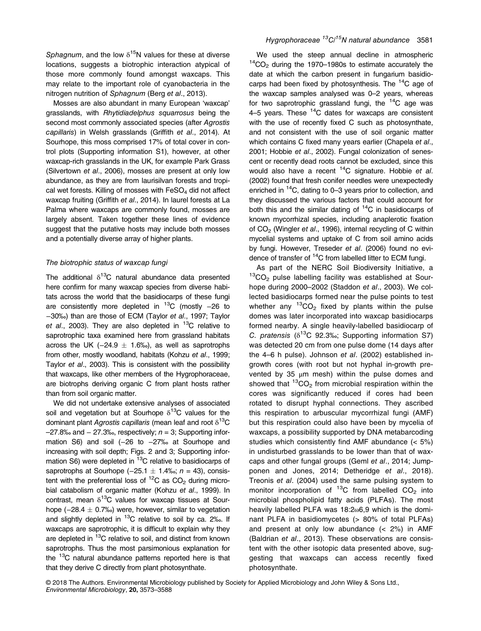Sphagnum, and the low  $\delta^{15}$ N values for these at diverse locations, suggests a biotrophic interaction atypical of those more commonly found amongst waxcaps. This may relate to the important role of cyanobacteria in the nitrogen nutrition of Sphagnum (Berg et al., 2013).

Mosses are also abundant in many European 'waxcap' grasslands, with Rhytidiadelphus squarrosus being the second most commonly associated species (after Agrostis capillaris) in Welsh grasslands (Griffith et al., 2014). At Sourhope, this moss comprised 17% of total cover in control plots (Supporting information S1), however, at other waxcap-rich grasslands in the UK, for example Park Grass (Silvertown et al., 2006), mosses are present at only low abundance, as they are from laurisilvan forests and tropical wet forests. Killing of mosses with  $FeSO<sub>4</sub>$  did not affect waxcap fruiting (Griffith et al., 2014). In laurel forests at La Palma where waxcaps are commonly found, mosses are largely absent. Taken together these lines of evidence suggest that the putative hosts may include both mosses and a potentially diverse array of higher plants.

# The biotrophic status of waxcap fungi

The additional  $\delta^{13}$ C natural abundance data presented here confirm for many waxcap species from diverse habitats across the world that the basidiocarps of these fungi are consistently more depleted in  ${}^{13}$ C (mostly -26 to −30‰) than are those of ECM (Taylor et al., 1997; Taylor et al., 2003). They are also depleted in  ${}^{13}$ C relative to saprotrophic taxa examined here from grassland habitats across the UK ( $-24.9 \pm 1.6\%$ ), as well as saprotrophs from other, mostly woodland, habitats (Kohzu et al., 1999; Taylor et al., 2003). This is consistent with the possibility that waxcaps, like other members of the Hygrophoraceae, are biotrophs deriving organic C from plant hosts rather than from soil organic matter.

We did not undertake extensive analyses of associated soil and vegetation but at Sourhope  $\delta^{13}$ C values for the dominant plant Agrostis capillaris (mean leaf and root  $\delta^{13}C$  $-27.8\%$  and  $-27.3\%$ , respectively;  $n = 3$ ; Supporting information S6) and soil (−26 to −27‰ at Sourhope and increasing with soil depth; Figs. 2 and 3; Supporting information S6) were depleted in  ${}^{13}$ C relative to basidiocarps of saprotrophs at Sourhope (-25.1  $\pm$  1.4‰; n = 43), consistent with the preferential loss of  ${}^{12}$ C as CO<sub>2</sub> during microbial catabolism of organic matter (Kohzu et al., 1999). In contrast, mean  $\delta^{13}$ C values for waxcap tissues at Sourhope ( $-28.4 \pm 0.7$ ‰) were, however, similar to vegetation and slightly depleted in  ${}^{13}$ C relative to soil by ca. 2‰. If waxcaps are saprotrophic, it is difficult to explain why they are depleted in <sup>13</sup>C relative to soil, and distinct from known saprotrophs. Thus the most parsimonious explanation for the <sup>13</sup>C natural abundance patterns reported here is that that they derive C directly from plant photosynthate.

We used the steep annual decline in atmospheric  $14CO<sub>2</sub>$  during the 1970–1980s to estimate accurately the date at which the carbon present in fungarium basidiocarps had been fixed by photosynthesis. The  ${}^{14}C$  age of the waxcap samples analysed was 0–2 years, whereas for two saprotrophic grassland fungi, the  ${}^{14}$ C age was 4–5 years. These  $14C$  dates for waxcaps are consistent with the use of recently fixed C such as photosynthate, and not consistent with the use of soil organic matter which contains C fixed many years earlier (Chapela et al., 2001; Hobbie et al., 2002). Fungal colonization of senescent or recently dead roots cannot be excluded, since this would also have a recent  $14C$  signature. Hobbie et al. (2002) found that fresh conifer needles were unexpectedly enriched in <sup>14</sup>C, dating to 0–3 years prior to collection, and they discussed the various factors that could account for both this and the similar dating of  $14C$  in basidiocarps of known mycorrhizal species, including anaplerotic fixation of CO<sub>2</sub> (Wingler et al., 1996), internal recycling of C within mycelial systems and uptake of C from soil amino acids by fungi. However, Treseder et al. (2006) found no evidence of transfer of <sup>14</sup>C from labelled litter to ECM fungi.

As part of the NERC Soil Biodiversity Initiative, a  $13$ CO<sub>2</sub> pulse labelling facility was established at Sourhope during 2000-2002 (Staddon et al., 2003). We collected basidiocarps formed near the pulse points to test whether any  ${}^{13}CO_2$  fixed by plants within the pulse domes was later incorporated into waxcap basidiocarps formed nearby. A single heavily-labelled basidiocarp of C. pratensis ( $\delta^{13}$ C 92.3‰; Supporting information S7) was detected 20 cm from one pulse dome (14 days after the 4–6 h pulse). Johnson et al. (2002) established ingrowth cores (with root but not hyphal in-growth prevented by 35 μm mesh) within the pulse domes and showed that  ${}^{13}CO_2$  from microbial respiration within the cores was significantly reduced if cores had been rotated to disrupt hyphal connections. They ascribed this respiration to arbuscular mycorrhizal fungi (AMF) but this respiration could also have been by mycelia of waxcaps, a possibility supported by DNA metabarcoding studies which consistently find AMF abundance (< 5%) in undisturbed grasslands to be lower than that of waxcaps and other fungal groups (Geml et al., 2014; Jumpponen and Jones, 2014; Detheridge et al., 2018). Treonis et al. (2004) used the same pulsing system to monitor incorporation of  ${}^{13}$ C from labelled CO<sub>2</sub> into microbial phospholipid fatty acids (PLFAs). The most heavily labelled PLFA was 18:2ω6,9 which is the dominant PLFA in basidiomycetes (> 80% of total PLFAs) and present at only low abundance (< 2%) in AMF (Baldrian et al., 2013). These observations are consistent with the other isotopic data presented above, suggesting that waxcaps can access recently fixed photosynthate.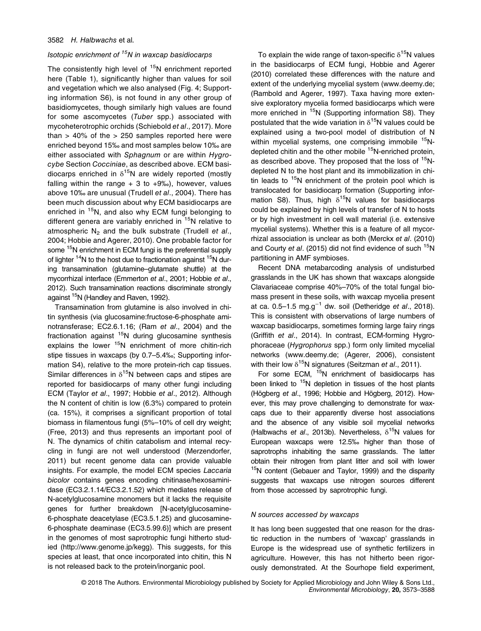# Isotopic enrichment of  $15N$  in waxcap basidiocarps

The consistently high level of  $15N$  enrichment reported here (Table 1), significantly higher than values for soil and vegetation which we also analysed (Fig. 4; Supporting information S6), is not found in any other group of basidiomycetes, though similarly high values are found for some ascomycetes (Tuber spp.) associated with mycoheterotrophic orchids (Schiebold et al., 2017). More than  $> 40\%$  of the  $> 250$  samples reported here were enriched beyond 15‰ and most samples below 10‰ are either associated with Sphagnum or are within Hygrocybe Section Cocciniae, as described above. ECM basidiocarps enriched in  $\delta^{15}N$  are widely reported (mostly falling within the range  $+3$  to  $+9\%$ ), however, values above 10‰ are unusual (Trudell et al., 2004). There has been much discussion about why ECM basidiocarps are enriched in  $15N$ , and also why ECM fungi belonging to different genera are variably enriched in  $15N$  relative to atmospheric  $N_2$  and the bulk substrate (Trudell et al., 2004; Hobbie and Agerer, 2010). One probable factor for some <sup>15</sup>N enrichment in ECM fungi is the preferential supply of lighter  $14N$  to the host due to fractionation against  $15N$  during transamination (glutamine–glutamate shuttle) at the mycorrhizal interface (Emmerton et al., 2001; Hobbie et al., 2012). Such transamination reactions discriminate strongly against <sup>15</sup>N (Handley and Raven, 1992).

Transamination from glutamine is also involved in chitin synthesis (via glucosamine:fructose-6-phosphate aminotransferase; EC2.6.1.16; (Ram et al., 2004) and the fractionation against  $15N$  during glucosamine synthesis explains the lower  $15N$  enrichment of more chitin-rich stipe tissues in waxcaps (by 0.7–5.4‰; Supporting information S4), relative to the more protein-rich cap tissues. Similar differences in  $\delta^{15}$ N between caps and stipes are reported for basidiocarps of many other fungi including ECM (Taylor et al., 1997; Hobbie et al., 2012). Although the N content of chitin is low (6.3%) compared to protein (ca. 15%), it comprises a significant proportion of total biomass in filamentous fungi (5%–10% of cell dry weight; (Free, 2013) and thus represents an important pool of N. The dynamics of chitin catabolism and internal recycling in fungi are not well understood (Merzendorfer, 2011) but recent genome data can provide valuable insights. For example, the model ECM species Laccaria bicolor contains genes encoding chitinase/hexosaminidase (EC3.2.1.14/EC3.2.1.52) which mediates release of N-acetylglucosamine monomers but it lacks the requisite genes for further breakdown [N-acetylglucosamine-6-phosphate deacetylase (EC3.5.1.25) and glucosamine-6-phosphate deaminase (EC3.5.99.6)] which are present in the genomes of most saprotrophic fungi hitherto studied (<http://www.genome.jp/kegg>). This suggests, for this species at least, that once incorporated into chitin, this N is not released back to the protein/inorganic pool.

To explain the wide range of taxon-specific  $\delta^{15}N$  values in the basidiocarps of ECM fungi, Hobbie and Agerer (2010) correlated these differences with the nature and extent of the underlying mycelial system ([www.deemy.de;](http://www.deemy.de) (Rambold and Agerer, 1997). Taxa having more extensive exploratory mycelia formed basidiocarps which were more enriched in <sup>15</sup>N (Supporting information S8). They postulated that the wide variation in  $\delta^{15}N$  values could be explained using a two-pool model of distribution of N within mycelial systems, one comprising immobile <sup>15</sup>Ndepleted chitin and the other mobile <sup>15</sup>N-enriched protein, as described above. They proposed that the loss of <sup>15</sup>Ndepleted N to the host plant and its immobilization in chitin leads to  $15N$  enrichment of the protein pool which is translocated for basidiocarp formation (Supporting information S8). Thus, high  $\delta^{15}N$  values for basidiocarps could be explained by high levels of transfer of N to hosts or by high investment in cell wall material (i.e. extensive mycelial systems). Whether this is a feature of all mycorrhizal association is unclear as both (Merckx et al. (2010) and Courty et al. (2015) did not find evidence of such  $15N$ partitioning in AMF symbioses.

Recent DNA metabarcoding analysis of undisturbed grasslands in the UK has shown that waxcaps alongside Clavariaceae comprise 40%–70% of the total fungal biomass present in these soils, with waxcap mycelia present at ca.  $0.5-1.5$  mg.g<sup>-1</sup> dw. soil (Detheridge et al., 2018). This is consistent with observations of large numbers of waxcap basidiocarps, sometimes forming large fairy rings (Griffith et al., 2014). In contrast, ECM-forming Hygrophoraceae (Hygrophorus spp.) form only limited mycelial networks [\(www.deemy.de](http://www.deemy.de); (Agerer, 2006), consistent with their low  $\delta^{15}N$  signatures (Seitzman et al., 2011).

For some ECM,  $15N$  enrichment of basidiocarps has been linked to <sup>15</sup>N depletion in tissues of the host plants (Högberg et al., 1996; Hobbie and Högberg, 2012). However, this may prove challenging to demonstrate for waxcaps due to their apparently diverse host associations and the absence of any visible soil mycelial networks (Halbwachs et al., 2013b). Nevertheless,  $\delta^{15}$ N values for European waxcaps were 12.5‰ higher than those of saprotrophs inhabiting the same grasslands. The latter obtain their nitrogen from plant litter and soil with lower <sup>15</sup>N content (Gebauer and Taylor, 1999) and the disparity suggests that waxcaps use nitrogen sources different from those accessed by saprotrophic fungi.

# N sources accessed by waxcaps

It has long been suggested that one reason for the drastic reduction in the numbers of 'waxcap' grasslands in Europe is the widespread use of synthetic fertilizers in agriculture. However, this has not hitherto been rigorously demonstrated. At the Sourhope field experiment,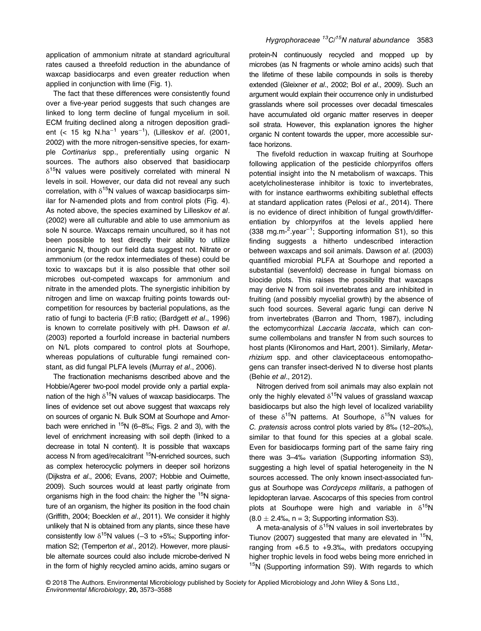application of ammonium nitrate at standard agricultural rates caused a threefold reduction in the abundance of waxcap basidiocarps and even greater reduction when applied in conjunction with lime (Fig. 1).

The fact that these differences were consistently found over a five-year period suggests that such changes are linked to long term decline of fungal mycelium in soil. ECM fruiting declined along a nitrogen deposition gradient (< 15 kg N.ha<sup>−1</sup> years<sup>−1</sup>), (Lilleskov *et al*. (2001, 2002) with the more nitrogen-sensitive species, for example Cortinarius spp., preferentially using organic N sources. The authors also observed that basidiocarp  $\delta^{15}$ N values were positively correlated with mineral N levels in soil. However, our data did not reveal any such correlation, with  $\delta^{15}N$  values of waxcap basidiocarps similar for N-amended plots and from control plots (Fig. 4). As noted above, the species examined by Lilleskov et al. (2002) were all culturable and able to use ammonium as sole N source. Waxcaps remain uncultured, so it has not been possible to test directly their ability to utilize inorganic N, though our field data suggest not. Nitrate or ammonium (or the redox intermediates of these) could be toxic to waxcaps but it is also possible that other soil microbes out-competed waxcaps for ammonium and nitrate in the amended plots. The synergistic inhibition by nitrogen and lime on waxcap fruiting points towards outcompetition for resources by bacterial populations, as the ratio of fungi to bacteria (F:B ratio; (Bardgett et al., 1996) is known to correlate positively with pH. Dawson et al. (2003) reported a fourfold increase in bacterial numbers on N/L plots compared to control plots at Sourhope, whereas populations of culturable fungi remained constant, as did fungal PLFA levels (Murray et al., 2006).

The fractionation mechanisms described above and the Hobbie/Agerer two-pool model provide only a partial explanation of the high  $\delta^{15}N$  values of waxcap basidiocarps. The lines of evidence set out above suggest that waxcaps rely on sources of organic N. Bulk SOM at Sourhope and Amorbach were enriched in <sup>15</sup>N (6–8‰; Figs. 2 and 3), with the level of enrichment increasing with soil depth (linked to a decrease in total N content). It is possible that waxcaps access N from aged/recalcitrant <sup>15</sup>N-enriched sources, such as complex heterocyclic polymers in deeper soil horizons (Dijkstra et al., 2006; Evans, 2007; Hobbie and Ouimette, 2009). Such sources would at least partly originate from organisms high in the food chain: the higher the  $15N$  signature of an organism, the higher its position in the food chain (Griffith, 2004; Boecklen et al., 2011). We consider it highly unlikely that N is obtained from any plants, since these have consistently low  $\delta^{15}N$  values (-3 to +5‰; Supporting information S2; (Temperton et al., 2012). However, more plausible alternate sources could also include microbe-derived N in the form of highly recycled amino acids, amino sugars or protein-N continuously recycled and mopped up by microbes (as N fragments or whole amino acids) such that the lifetime of these labile compounds in soils is thereby extended (Gleixner et al., 2002; Bol et al., 2009). Such an argument would explain their occurrence only in undisturbed grasslands where soil processes over decadal timescales have accumulated old organic matter reserves in deeper soil strata. However, this explanation ignores the higher organic N content towards the upper, more accessible surface horizons.

The fivefold reduction in waxcap fruiting at Sourhope following application of the pesticide chlorpyrifos offers potential insight into the N metabolism of waxcaps. This acetylcholinesterase inhibitor is toxic to invertebrates, with for instance earthworms exhibiting sublethal effects at standard application rates (Pelosi et al., 2014). There is no evidence of direct inhibition of fungal growth/differentiation by chlorpyrifos at the levels applied here (338 mg.m-<sup>2</sup> .year−<sup>1</sup> ; Supporting information S1), so this finding suggests a hitherto undescribed interaction between waxcaps and soil animals. Dawson et al. (2003) quantified microbial PLFA at Sourhope and reported a substantial (sevenfold) decrease in fungal biomass on biocide plots. This raises the possibility that waxcaps may derive N from soil invertebrates and are inhibited in fruiting (and possibly mycelial growth) by the absence of such food sources. Several agaric fungi can derive N from invertebrates (Barron and Thorn, 1987), including the ectomycorrhizal Laccaria laccata, which can consume collembolans and transfer N from such sources to host plants (Klironomos and Hart, 2001). Similarly, Metarrhizium spp. and other claviceptaceous entomopathogens can transfer insect-derived N to diverse host plants (Behie et al., 2012).

Nitrogen derived from soil animals may also explain not only the highly elevated  $\delta^{15}N$  values of grassland waxcap basidiocarps but also the high level of localized variability of these  $\delta^{15}N$  patterns. At Sourhope,  $\delta^{15}N$  values for C. pratensis across control plots varied by 8‰ (12–20‰), similar to that found for this species at a global scale. Even for basidiocarps forming part of the same fairy ring there was 3–4‰ variation (Supporting information S3), suggesting a high level of spatial heterogeneity in the N sources accessed. The only known insect-associated fungus at Sourhope was Cordyceps militaris, a pathogen of lepidopteran larvae. Ascocarps of this species from control plots at Sourhope were high and variable in  $\delta^{15}N$  $(8.0 \pm 2.4\%)$ , n = 3; Supporting information S3).

A meta-analysis of  $\delta^{15}N$  values in soil invertebrates by Tiunov (2007) suggested that many are elevated in  $15N$ , ranging from  $+6.5$  to  $+9.3%$ , with predators occupying higher trophic levels in food webs being more enriched in <sup>15</sup>N (Supporting information S9). With regards to which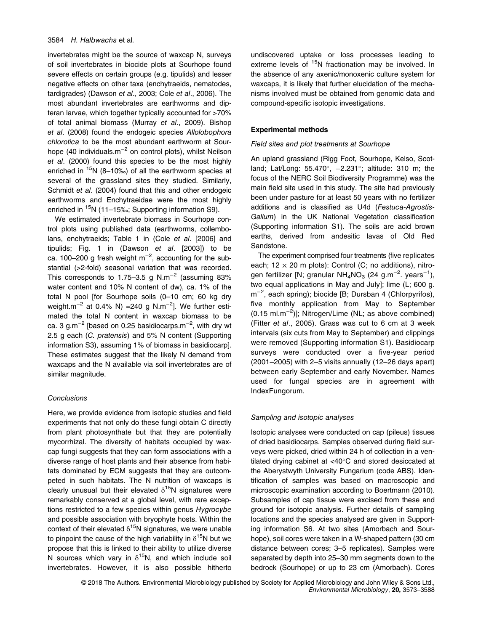## 3584 H. Halbwachs et al.

invertebrates might be the source of waxcap N, surveys of soil invertebrates in biocide plots at Sourhope found severe effects on certain groups (e.g. tipulids) and lesser negative effects on other taxa (enchytraeids, nematodes, tardigrades) (Dawson et al., 2003; Cole et al., 2006). The most abundant invertebrates are earthworms and dipteran larvae, which together typically accounted for >70% of total animal biomass (Murray et al., 2009). Bishop et al. (2008) found the endogeic species Allolobophora chlorotica to be the most abundant earthworm at Sourhope (40 individuals.m<sup>-2</sup> on control plots), whilst Neilson et al. (2000) found this species to be the most highly enriched in  $15N$  (8–10‰) of all the earthworm species at several of the grassland sites they studied. Similarly, Schmidt et al. (2004) found that this and other endogeic earthworms and Enchytraeidae were the most highly enriched in  $15N$  (11–15‰; Supporting information S9).

We estimated invertebrate biomass in Sourhope control plots using published data (earthworms, collembolans, enchytraeids; Table 1 in (Cole et al. [2006] and tipulids; Fig. 1 in (Dawson et al. [2003]) to be ca. 100–200 g fresh weight m<sup>-2</sup>, accounting for the substantial (>2-fold) seasonal variation that was recorded. This corresponds to 1.75–3.5 g N.m<sup>-2</sup> (assuming 83% water content and 10% N content of dw), ca. 1% of the total N pool [for Sourhope soils (0–10 cm; 60 kg dry weight.m<sup>−2</sup> at 0.4% N) =240 g N.m<sup>−2</sup>]. We further estimated the total N content in waxcap biomass to be ca. 3 g.m $^{-2}$  [based on 0.25 basidiocarps.m $^{-2}$ , with dry wt 2.5 g each (C. pratensis) and 5% N content (Supporting information S3), assuming 1% of biomass in basidiocarp]. These estimates suggest that the likely N demand from waxcaps and the N available via soil invertebrates are of similar magnitude.

## **Conclusions**

Here, we provide evidence from isotopic studies and field experiments that not only do these fungi obtain C directly from plant photosynthate but that they are potentially mycorrhizal. The diversity of habitats occupied by waxcap fungi suggests that they can form associations with a diverse range of host plants and their absence from habitats dominated by ECM suggests that they are outcompeted in such habitats. The N nutrition of waxcaps is clearly unusual but their elevated  $\delta^{15}N$  signatures were remarkably conserved at a global level, with rare exceptions restricted to a few species within genus Hygrocybe and possible association with bryophyte hosts. Within the context of their elevated  $\delta^{15}$ N signatures, we were unable to pinpoint the cause of the high variability in  $\delta^{15}N$  but we propose that this is linked to their ability to utilize diverse N sources which vary in  $\delta^{15}N$ , and which include soil invertebrates. However, it is also possible hitherto undiscovered uptake or loss processes leading to extreme levels of <sup>15</sup>N fractionation may be involved. In the absence of any axenic/monoxenic culture system for waxcaps, it is likely that further elucidation of the mechanisms involved must be obtained from genomic data and compound-specific isotopic investigations.

## Experimental methods

#### Field sites and plot treatments at Sourhope

An upland grassland (Rigg Foot, Sourhope, Kelso, Scotland; Lat/Long: 55.470°, -2.231°; altitude: 310 m; the focus of the NERC Soil Biodiversity Programme) was the main field site used in this study. The site had previously been under pasture for at least 50 years with no fertilizer additions and is classified as U4d (Festuca-Agrostis-Galium) in the UK National Vegetation classification (Supporting information S1). The soils are acid brown earths, derived from andesitic lavas of Old Red Sandstone.

The experiment comprised four treatments (five replicates each;  $12 \times 20$  m plots): Control (C; no additions), nitrogen fertilizer [N; granular NH<sub>4</sub>NO<sub>3</sub> (24 g.m<sup>-2</sup>. years<sup>-1</sup>), two equal applications in May and July]; lime (L; 600 g. m−<sup>2</sup> , each spring); biocide [B; Dursban 4 (Chlorpyrifos), five monthly application from May to September (0.15 ml.m−<sup>2</sup> )]; Nitrogen/Lime (NL; as above combined) (Fitter et al., 2005). Grass was cut to 6 cm at 3 week intervals (six cuts from May to September) and clippings were removed (Supporting information S1). Basidiocarp surveys were conducted over a five-year period (2001–2005) with 2–5 visits annually (12–26 days apart) between early September and early November. Names used for fungal species are in agreement with IndexFungorum.

### Sampling and isotopic analyses

Isotopic analyses were conducted on cap (pileus) tissues of dried basidiocarps. Samples observed during field surveys were picked, dried within 24 h of collection in a ventilated drying cabinet at  $<$ 40 $^{\circ}$ C and stored desiccated at the Aberystwyth University Fungarium (code ABS). Identification of samples was based on macroscopic and microscopic examination according to Boertmann (2010). Subsamples of cap tissue were excised from these and ground for isotopic analysis. Further details of sampling locations and the species analysed are given in Supporting information S6. At two sites (Amorbach and Sourhope), soil cores were taken in a W-shaped pattern (30 cm distance between cores; 3–5 replicates). Samples were separated by depth into 25–30 mm segments down to the bedrock (Sourhope) or up to 23 cm (Amorbach). Cores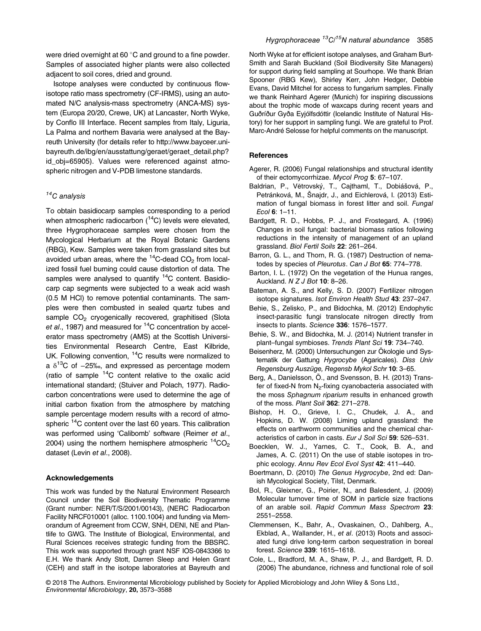were dried overnight at 60 $\degree$ C and ground to a fine powder. Samples of associated higher plants were also collected adjacent to soil cores, dried and ground.

Isotope analyses were conducted by continuous flowisotope ratio mass spectrometry (CF-IRMS), using an automated N/C analysis-mass spectrometry (ANCA-MS) system (Europa 20/20, Crewe, UK) at Lancaster, North Wyke, by Conflo III Interface. Recent samples from Italy, Liguria, La Palma and northern Bavaria were analysed at the Bayreuth University (for details refer to [http://www.bayceer.uni](http://www.bayceer.uni-bayreuth.de/ibg/en/ausstattung/geraet/geraet_detail.php?id_obj=65905)[bayreuth.de/ibg/en/ausstattung/geraet/geraet\\_detail.php?](http://www.bayceer.uni-bayreuth.de/ibg/en/ausstattung/geraet/geraet_detail.php?id_obj=65905) [id\\_obj=65905\)](http://www.bayceer.uni-bayreuth.de/ibg/en/ausstattung/geraet/geraet_detail.php?id_obj=65905). Values were referenced against atmospheric nitrogen and V-PDB limestone standards.

# $14C$  analysis

To obtain basidiocarp samples corresponding to a period when atmospheric radiocarbon  $(^{14}C)$  levels were elevated, three Hygrophoraceae samples were chosen from the Mycological Herbarium at the Royal Botanic Gardens (RBG), Kew. Samples were taken from grassland sites but avoided urban areas, where the  $14$ C-dead CO<sub>2</sub> from localized fossil fuel burning could cause distortion of data. The samples were analysed to quantify  $14C$  content. Basidiocarp cap segments were subjected to a weak acid wash (0.5 M HCl) to remove potential contaminants. The samples were then combusted in sealed quartz tubes and sample CO<sub>2</sub> cryogenically recovered, graphitised (Slota et al., 1987) and measured for  ${}^{14}C$  concentration by accelerator mass spectrometry (AMS) at the Scottish Universities Environmental Research Centre, East Kilbride, UK. Following convention, <sup>14</sup>C results were normalized to a  $\delta^{13}$ C of −25‰, and expressed as percentage modern (ratio of sample  ${}^{14}$ C content relative to the oxalic acid international standard; (Stuiver and Polach, 1977). Radiocarbon concentrations were used to determine the age of initial carbon fixation from the atmosphere by matching sample percentage modern results with a record of atmospheric <sup>14</sup>C content over the last 60 years. This calibration was performed using 'Calibomb' software (Reimer et al., 2004) using the northern hemisphere atmospheric  $14^{\circ}CO_{2}$ dataset (Levin et al., 2008).

# Acknowledgements

This work was funded by the Natural Environment Research Council under the Soil Biodiversity Thematic Programme (Grant number: NER/T/S/2001/00143), (NERC Radiocarbon Facility NRCF010001 (alloc. 1100.1004) and funding via Memorandum of Agreement from CCW, SNH, DENI, NE and Plantlife to GWG. The Institute of Biological, Environmental, and Rural Sciences receives strategic funding from the BBSRC. This work was supported through grant NSF IOS-0843366 to E.H. We thank Andy Stott, Darren Sleep and Helen Grant (CEH) and staff in the isotope laboratories at Bayreuth and North Wyke at for efficient isotope analyses, and Graham Burt-Smith and Sarah Buckland (Soil Biodiversity Site Managers) for support during field sampling at Sourhope. We thank Brian Spooner (RBG Kew), Shirley Kerr, John Hedger, Debbie Evans, David Mitchel for access to fungarium samples. Finally we thank Reinhard Agerer (Munich) for inspiring discussions about the trophic mode of waxcaps during recent years and Guðríður Gyða Eyjólfsdóttir (Icelandic Institute of Natural History) for her support in sampling fungi. We are grateful to Prof. Marc-André Selosse for helpful comments on the manuscript.

## **References**

- Agerer, R. (2006) Fungal relationships and structural identity of their ectomycorrhizae. Mycol Prog 5: 67–107.
- Baldrian, P., Větrovský, T., Cajthaml, T., Dobiášová, P., Petránková, M., Šnajdr, J., and Eichlerová, I. (2013) Estimation of fungal biomass in forest litter and soil. Fungal Ecol 6: 1–11.
- Bardgett, R. D., Hobbs, P. J., and Frostegard, A. (1996) Changes in soil fungal: bacterial biomass ratios following reductions in the intensity of management of an upland grassland. Biol Fertil Soils 22: 261–264.
- Barron, G. L., and Thorn, R. G. (1987) Destruction of nematodes by species of Pleurotus. Can J Bot 65: 774–778.
- Barton, I. L. (1972) On the vegetation of the Hunua ranges, Auckland. N Z J Bot 10: 8–26.
- Bateman, A. S., and Kelly, S. D. (2007) Fertilizer nitrogen isotope signatures. Isot Environ Health Stud 43: 237–247.
- Behie, S., Zelisko, P., and Bidochka, M. (2012) Endophytic insect-parasitic fungi translocate nitrogen directly from insects to plants. Science 336: 1576–1577.
- Behie, S. W., and Bidochka, M. J. (2014) Nutrient transfer in plant–fungal symbioses. Trends Plant Sci 19: 734–740.
- Beisenherz, M. (2000) Untersuchungen zur Ökologie und Systematik der Gattung Hygrocybe (Agaricales). Diss Univ Regensburg Auszüge, Regensb Mykol Schr 10: 3–65.
- Berg, A., Danielsson, Ö., and Svensson, B. H. (2013) Transfer of fixed-N from  $N<sub>2</sub>$ -fixing cyanobacteria associated with the moss Sphagnum riparium results in enhanced growth of the moss. Plant Soil 362: 271–278.
- Bishop, H. O., Grieve, I. C., Chudek, J. A., and Hopkins, D. W. (2008) Liming upland grassland: the effects on earthworm communities and the chemical characteristics of carbon in casts. Eur J Soil Sci 59: 526–531.
- Boecklen, W. J., Yarnes, C. T., Cook, B. A., and James, A. C. (2011) On the use of stable isotopes in trophic ecology. Annu Rev Ecol Evol Syst 42: 411–440.
- Boertmann, D. (2010) The Genus Hygrocybe, 2nd ed: Danish Mycological Society, Tilst, Denmark.
- Bol, R., Gleixner, G., Poirier, N., and Balesdent, J. (2009) Molecular turnover time of SOM in particle size fractions of an arable soil. Rapid Commun Mass Spectrom 23: 2551–2558.
- Clemmensen, K., Bahr, A., Ovaskainen, O., Dahlberg, A., Ekblad, A., Wallander, H., et al. (2013) Roots and associated fungi drive long-term carbon sequestration in boreal forest. Science 339: 1615–1618.
- Cole, L., Bradford, M. A., Shaw, P. J., and Bardgett, R. D. (2006) The abundance, richness and functional role of soil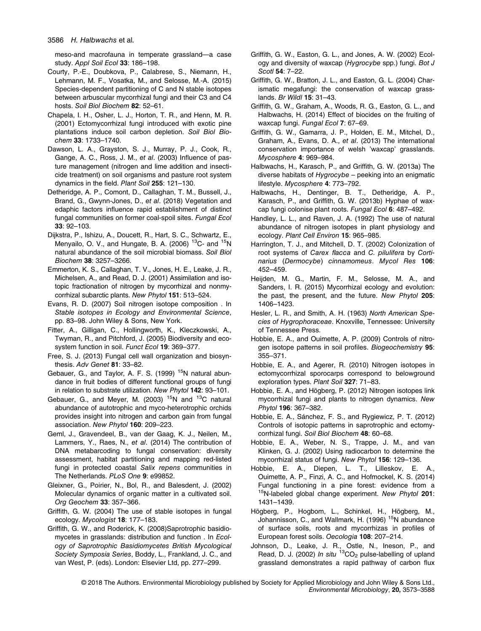meso-and macrofauna in temperate grassland—a case study. Appl Soil Ecol 33: 186–198.

- Courty, P.-E., Doubkova, P., Calabrese, S., Niemann, H., Lehmann, M. F., Vosatka, M., and Selosse, M.-A. (2015) Species-dependent partitioning of C and N stable isotopes between arbuscular mycorrhizal fungi and their C3 and C4 hosts. Soil Biol Biochem 82: 52-61.
- Chapela, I. H., Osher, L. J., Horton, T. R., and Henn, M. R. (2001) Ectomycorrhizal fungi introduced with exotic pine plantations induce soil carbon depletion. Soil Biol Biochem 33: 1733–1740.
- Dawson, L. A., Grayston, S. J., Murray, P. J., Cook, R., Gange, A. C., Ross, J. M., et al. (2003) Influence of pasture management (nitrogen and lime addition and insecticide treatment) on soil organisms and pasture root system dynamics in the field. Plant Soil 255: 121–130.
- Detheridge, A. P., Comont, D., Callaghan, T. M., Bussell, J., Brand, G., Gwynn-Jones, D., et al. (2018) Vegetation and edaphic factors influence rapid establishment of distinct fungal communities on former coal-spoil sites. Fungal Ecol 33: 92–103.
- Dijkstra, P., Ishizu, A., Doucett, R., Hart, S. C., Schwartz, E., Menyailo, O. V., and Hungate, B. A. (2006) <sup>13</sup>C- and <sup>15</sup>N natural abundance of the soil microbial biomass. Soil Biol Biochem 38: 3257–3266.
- Emmerton, K. S., Callaghan, T. V., Jones, H. E., Leake, J. R., Michelsen, A., and Read, D. J. (2001) Assimilation and isotopic fractionation of nitrogen by mycorrhizal and nonmycorrhizal subarctic plants. New Phytol 151: 513–524.
- Evans, R. D. (2007) Soil nitrogen isotope composition . In Stable isotopes in Ecology and Environmental Science, pp. 83–98. John Wiley & Sons, New York.
- Fitter, A., Gilligan, C., Hollingworth, K., Kleczkowski, A., Twyman, R., and Pitchford, J. (2005) Biodiversity and ecosystem function in soil. Funct Ecol 19: 369–377.
- Free, S. J. (2013) Fungal cell wall organization and biosynthesis. Adv Genet 81: 33–82.
- Gebauer, G., and Taylor, A. F. S. (1999) <sup>15</sup>N natural abundance in fruit bodies of different functional groups of fungi in relation to substrate utilization. New Phytol 142: 93–101.
- Gebauer, G., and Meyer, M. (2003)  $15N$  and  $13C$  natural abundance of autotrophic and myco-heterotrophic orchids provides insight into nitrogen and carbon gain from fungal association. New Phytol 160: 209–223.
- Geml, J., Gravendeel, B., van der Gaag, K. J., Neilen, M., Lammers, Y., Raes, N., et al. (2014) The contribution of DNA metabarcoding to fungal conservation: diversity assessment, habitat partitioning and mapping red-listed fungi in protected coastal Salix repens communities in The Netherlands. PLoS One 9: e99852.
- Gleixner, G., Poirier, N., Bol, R., and Balesdent, J. (2002) Molecular dynamics of organic matter in a cultivated soil. Org Geochem 33: 357–366.
- Griffith, G. W. (2004) The use of stable isotopes in fungal ecology. Mycologist 18: 177–183.
- Griffith, G. W., and Roderick, K. (2008)Saprotrophic basidiomycetes in grasslands: distribution and function . In Ecology of Saprotrophic Basidiomycetes British Mycological Society Symposia Series, Boddy, L., Frankland, J. C., and van West, P. (eds). London: Elsevier Ltd, pp. 277–299.
- Griffith, G. W., Easton, G. L., and Jones, A. W. (2002) Ecology and diversity of waxcap (Hygrocybe spp.) fungi. Bot J Scotl 54: 7–22.
- Griffith, G. W., Bratton, J. L., and Easton, G. L. (2004) Charismatic megafungi: the conservation of waxcap grasslands. Br Wildl 15: 31–43.
- Griffith, G. W., Graham, A., Woods, R. G., Easton, G. L., and Halbwachs, H. (2014) Effect of biocides on the fruiting of waxcap fungi. Fungal Ecol 7: 67–69.
- Griffith, G. W., Gamarra, J. P., Holden, E. M., Mitchel, D., Graham, A., Evans, D. A., et al. (2013) The international conservation importance of welsh 'waxcap' grasslands. Mycosphere 4: 969–984.
- Halbwachs, H., Karasch, P., and Griffith, G. W. (2013a) The diverse habitats of Hygrocybe – peeking into an enigmatic lifestyle. Mycosphere 4: 773–792.
- Halbwachs, H., Dentinger, B. T., Detheridge, A. P., Karasch, P., and Griffith, G. W. (2013b) Hyphae of waxcap fungi colonise plant roots. Fungal Ecol 6: 487–492.
- Handley, L. L., and Raven, J. A. (1992) The use of natural abundance of nitrogen isotopes in plant physiology and ecology. Plant Cell Environ 15: 965–985.
- Harrington, T. J., and Mitchell, D. T. (2002) Colonization of root systems of Carex flacca and C. pilulifera by Cortinarius (Dermocybe) cinnamomeus. Mycol Res 106: 452–459.
- Heijden, M. G., Martin, F. M., Selosse, M. A., and Sanders, I. R. (2015) Mycorrhizal ecology and evolution: the past, the present, and the future. New Phytol 205: 1406–1423.
- Hesler, L. R., and Smith, A. H. (1963) North American Species of Hygrophoraceae. Knoxville, Tennessee: University of Tennessee Press.
- Hobbie, E. A., and Ouimette, A. P. (2009) Controls of nitrogen isotope patterns in soil profiles. Biogeochemistry 95: 355–371.
- Hobbie, E. A., and Agerer, R. (2010) Nitrogen isotopes in ectomycorrhizal sporocarps correspond to belowground exploration types. Plant Soil 327: 71–83.
- Hobbie, E. A., and Högberg, P. (2012) Nitrogen isotopes link mycorrhizal fungi and plants to nitrogen dynamics. New Phytol 196: 367–382.
- Hobbie, E. A., Sánchez, F. S., and Rygiewicz, P. T. (2012) Controls of isotopic patterns in saprotrophic and ectomycorrhizal fungi. Soil Biol Biochem 48: 60-68.
- Hobbie, E. A., Weber, N. S., Trappe, J. M., and van Klinken, G. J. (2002) Using radiocarbon to determine the mycorrhizal status of fungi. New Phytol 156: 129–136.
- Hobbie, E. A., Diepen, L. T., Lilleskov, E. A., Ouimette, A. P., Finzi, A. C., and Hofmockel, K. S. (2014) Fungal functioning in a pine forest: evidence from a  $15$ N-labeled global change experiment. New Phytol 201: 1431–1439.
- Högberg, P., Hogbom, L., Schinkel, H., Högberg, M., Johannisson, C., and Wallmark, H. (1996)<sup>15</sup>N abundance of surface soils, roots and mycorrhizas in profiles of European forest soils. Oecologia 108: 207–214.
- Johnson, D., Leake, J. R., Ostle, N., Ineson, P., and Read, D. J. (2002) In situ  ${}^{13}CO_2$  pulse-labelling of upland grassland demonstrates a rapid pathway of carbon flux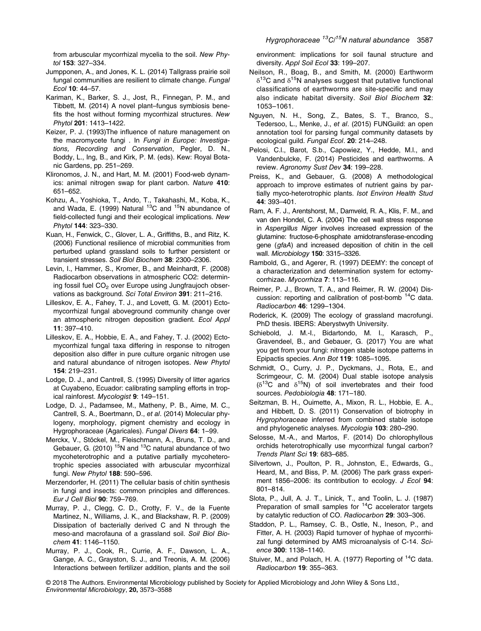from arbuscular mycorrhizal mycelia to the soil. New Phytol 153: 327–334.

- Jumpponen, A., and Jones, K. L. (2014) Tallgrass prairie soil fungal communities are resilient to climate change. Fungal Ecol 10: 44–57.
- Kariman, K., Barker, S. J., Jost, R., Finnegan, P. M., and Tibbett, M. (2014) A novel plant–fungus symbiosis benefits the host without forming mycorrhizal structures. New Phytol 201: 1413–1422.
- Keizer, P. J. (1993)The influence of nature management on the macromycete fungi . In Fungi in Europe: Investigations, Recording and Conservation, Pegler, D. N., Boddy, L., Ing, B., and Kirk, P. M. (eds). Kew: Royal Botanic Gardens, pp. 251–269.
- Klironomos, J. N., and Hart, M. M. (2001) Food-web dynamics: animal nitrogen swap for plant carbon. Nature 410: 651–652.
- Kohzu, A., Yoshioka, T., Ando, T., Takahashi, M., Koba, K., and Wada, E. (1999) Natural  $^{13}$ C and  $^{15}$ N abundance of field-collected fungi and their ecological implications. New Phytol 144: 323–330.
- Kuan, H., Fenwick, C., Glover, L. A., Griffiths, B., and Ritz, K. (2006) Functional resilience of microbial communities from perturbed upland grassland soils to further persistent or transient stresses. Soil Biol Biochem 38: 2300–2306.
- Levin, I., Hammer, S., Kromer, B., and Meinhardt, F. (2008) Radiocarbon observations in atmospheric CO2: determining fossil fuel  $CO<sub>2</sub>$  over Europe using Jungfraujoch observations as background. Sci Total Environ 391: 211–216.
- Lilleskov, E. A., Fahey, T. J., and Lovett, G. M. (2001) Ectomycorrhizal fungal aboveground community change over an atmospheric nitrogen deposition gradient. Ecol Appl 11: 397–410.
- Lilleskov, E. A., Hobbie, E. A., and Fahey, T. J. (2002) Ectomycorrhizal fungal taxa differing in response to nitrogen deposition also differ in pure culture organic nitrogen use and natural abundance of nitrogen isotopes. New Phytol 154: 219–231.
- Lodge, D. J., and Cantrell, S. (1995) Diversity of litter agarics at Cuyabeno, Ecuador: calibrating sampling efforts in tropical rainforest. Mycologist 9: 149–151.
- Lodge, D. J., Padamsee, M., Matheny, P. B., Aime, M. C., Cantrell, S. A., Boertmann, D., et al. (2014) Molecular phylogeny, morphology, pigment chemistry and ecology in Hygrophoraceae (Agaricales). Fungal Divers 64: 1–99.
- Merckx, V., Stöckel, M., Fleischmann, A., Bruns, T. D., and Gebauer, G. (2010)  $15N$  and  $13C$  natural abundance of two mycoheterotrophic and a putative partially mycoheterotrophic species associated with arbuscular mycorrhizal fungi. New Phytol 188: 590–596.
- Merzendorfer, H. (2011) The cellular basis of chitin synthesis in fungi and insects: common principles and differences. Eur J Cell Biol 90: 759–769.
- Murray, P. J., Clegg, C. D., Crotty, F. V., de la Fuente Martinez, N., Williams, J. K., and Blackshaw, R. P. (2009) Dissipation of bacterially derived C and N through the meso-and macrofauna of a grassland soil. Soil Biol Biochem 41: 1146–1150.
- Murray, P. J., Cook, R., Currie, A. F., Dawson, L. A., Gange, A. C., Grayston, S. J., and Treonis, A. M. (2006) Interactions between fertilizer addition, plants and the soil

environment: implications for soil faunal structure and diversity. Appl Soil Ecol 33: 199-207.

- Neilson, R., Boag, B., and Smith, M. (2000) Earthworm  $\delta^{13}$ C and  $\delta^{15}$ N analyses suggest that putative functional classifications of earthworms are site-specific and may also indicate habitat diversity. Soil Biol Biochem 32: 1053–1061.
- Nguyen, N. H., Song, Z., Bates, S. T., Branco, S., Tedersoo, L., Menke, J., et al. (2015) FUNGuild: an open annotation tool for parsing fungal community datasets by ecological guild. Fungal Ecol. 20: 214–248.
- Pelosi, C.l., Barot, S.b., Capowiez, Y., Hedde, M.l., and Vandenbulcke, F. (2014) Pesticides and earthworms. A review. Agronomy Sust Dev 34: 199–228.
- Preiss, K., and Gebauer, G. (2008) A methodological approach to improve estimates of nutrient gains by partially myco-heterotrophic plants. Isot Environ Health Stud 44: 393–401.
- Ram, A. F. J., Arentshorst, M., Damveld, R. A., Klis, F. M., and van den Hondel, C. A. (2004) The cell wall stress response in Aspergillus Niger involves increased expression of the glutamine: fructose-6-phosphate amidotransferase-encoding gene (gfaA) and increased deposition of chitin in the cell wall. Microbiology 150: 3315–3326.
- Rambold, G., and Agerer, R. (1997) DEEMY: the concept of a characterization and determination system for ectomycorrhizae. Mycorrhiza 7: 113–116.
- Reimer, P. J., Brown, T. A., and Reimer, R. W. (2004) Discussion: reporting and calibration of post-bomb <sup>14</sup>C data. Radiocarbon 46: 1299–1304.
- Roderick, K. (2009) The ecology of grassland macrofungi. PhD thesis. IBERS: Aberystwyth University.
- Schiebold, J. M.-I., Bidartondo, M. I., Karasch, P., Gravendeel, B., and Gebauer, G. (2017) You are what you get from your fungi: nitrogen stable isotope patterns in Epipactis species. Ann Bot 119: 1085–1095.
- Schmidt, O., Curry, J. P., Dyckmans, J., Rota, E., and Scrimgeour, C. M. (2004) Dual stable isotope analysis  $(δ<sup>13</sup>C$  and  $δ<sup>15</sup>N)$  of soil invertebrates and their food sources. Pedobiologia 48: 171–180.
- Seitzman, B. H., Ouimette, A., Mixon, R. L., Hobbie, E. A., and Hibbett, D. S. (2011) Conservation of biotrophy in Hygrophoraceae inferred from combined stable isotope and phylogenetic analyses. Mycologia 103: 280–290.
- Selosse, M.-A., and Martos, F. (2014) Do chlorophyllous orchids heterotrophically use mycorrhizal fungal carbon? Trends Plant Sci 19: 683–685.
- Silvertown, J., Poulton, P. R., Johnston, E., Edwards, G., Heard, M., and Biss, P. M. (2006) The park grass experiment 1856-2006: its contribution to ecology. J Ecol 94: 801–814.
- Slota, P., Jull, A. J. T., Linick, T., and Toolin, L. J. (1987) Preparation of small samples for <sup>14</sup>C accelerator targets by catalytic reduction of CO. Radiocarbon 29: 303–306.
- Staddon, P. L., Ramsey, C. B., Ostle, N., Ineson, P., and Fitter, A. H. (2003) Rapid turnover of hyphae of mycorrhizal fungi determined by AMS microanalysis of C-14. Science 300: 1138–1140.
- Stuiver, M., and Polach, H. A. (1977) Reporting of <sup>14</sup>C data. Radiocarbon 19: 355–363.